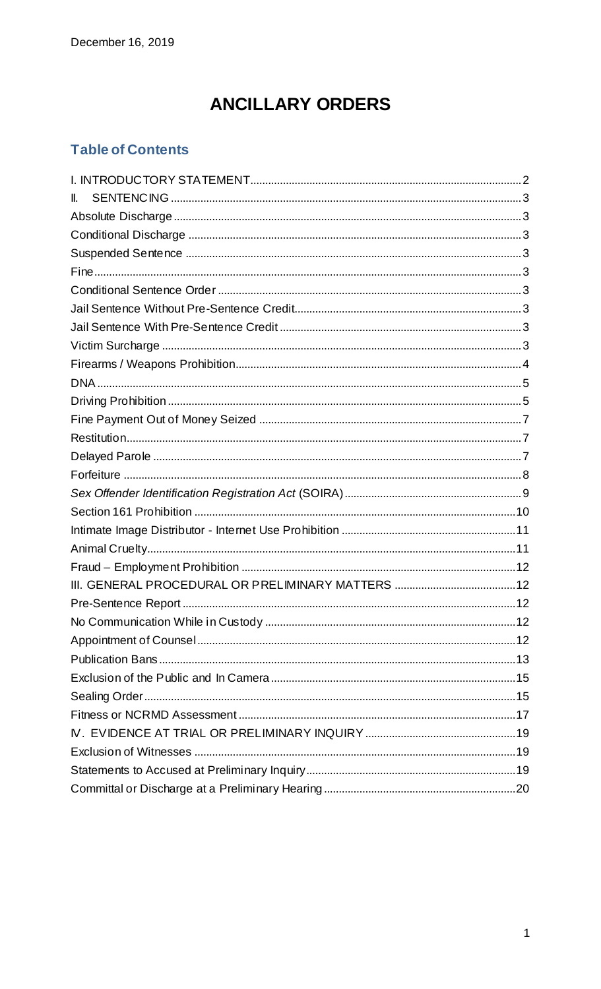# **ANCILLARY ORDERS**

## **Table of Contents**

| II. |  |
|-----|--|
|     |  |
|     |  |
|     |  |
|     |  |
|     |  |
|     |  |
|     |  |
|     |  |
|     |  |
|     |  |
|     |  |
|     |  |
|     |  |
|     |  |
|     |  |
|     |  |
|     |  |
|     |  |
|     |  |
|     |  |
|     |  |
|     |  |
|     |  |
|     |  |
|     |  |
|     |  |
|     |  |
|     |  |
|     |  |
|     |  |
|     |  |
|     |  |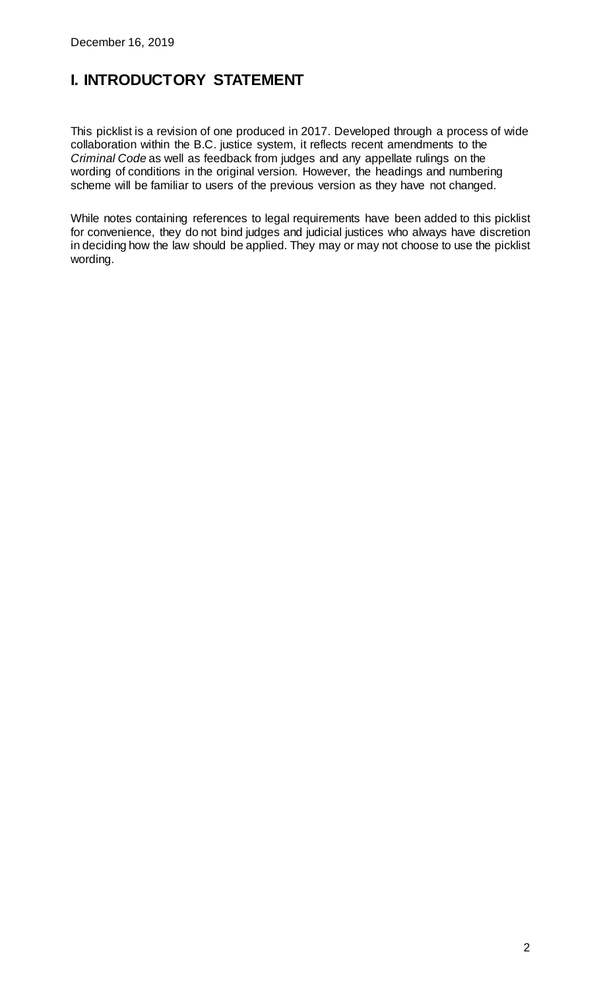## <span id="page-1-0"></span>**I. INTRODUCTORY STATEMENT**

This picklist is a revision of one produced in 2017. Developed through a process of wide collaboration within the B.C. justice system, it reflects recent amendments to the *Criminal Code* as well as feedback from judges and any appellate rulings on the wording of conditions in the original version. However, the headings and numbering scheme will be familiar to users of the previous version as they have not changed.

While notes containing references to legal requirements have been added to this picklist for convenience, they do not bind judges and judicial justices who always have discretion in deciding how the law should be applied. They may or may not choose to use the picklist wording.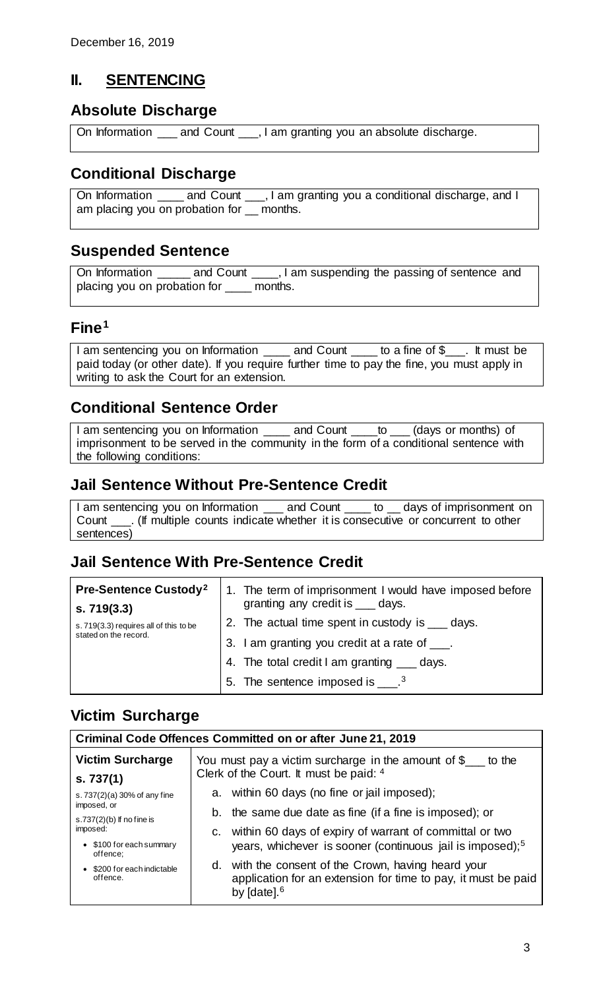### <span id="page-2-0"></span>**II. SENTENCING**

### <span id="page-2-1"></span>**Absolute Discharge**

On Information \_\_\_ and Count \_\_\_, I am granting you an absolute discharge.

## <span id="page-2-2"></span>**Conditional Discharge**

On Information \_\_\_\_ and Count \_\_\_, I am granting you a conditional discharge, and I am placing you on probation for \_\_ months.

### <span id="page-2-3"></span>**Suspended Sentence**

On Information \_\_\_\_\_ and Count \_\_\_\_, I am suspending the passing of sentence and placing you on probation for \_\_\_\_ months.

### <span id="page-2-4"></span>**Fine[1](#page-4-2)**

I am sentencing you on Information \_\_\_\_ and Count \_\_\_\_ to a fine of \$\_\_\_. It must be paid today (or other date). If you require further time to pay the fine, you must apply in writing to ask the Court for an extension.

## <span id="page-2-5"></span>**Conditional Sentence Order**

I am sentencing you on Information \_\_\_\_ and Count \_\_\_to \_\_ (days or months) of imprisonment to be served in the community in the form of a conditional sentence with the following conditions:

## <span id="page-2-6"></span>**Jail Sentence Without Pre-Sentence Credit**

I am sentencing you on Information and Count to days of imprisonment on Count \_\_\_. (If multiple counts indicate whether it is consecutive or concurrent to other sentences)

### <span id="page-2-7"></span>**Jail Sentence With Pre-Sentence Credit**

| <b>Pre-Sentence Custody<sup>2</sup></b><br>s.719(3.3)           | 1. The term of imprisonment I would have imposed before<br>granting any credit is ___ days. |
|-----------------------------------------------------------------|---------------------------------------------------------------------------------------------|
| s. 719(3.3) requires all of this to be<br>stated on the record. | 2. The actual time spent in custody is ____ days.                                           |
|                                                                 | 3. I am granting you credit at a rate of ____.                                              |
|                                                                 | 4. The total credit I am granting ___ days.                                                 |
|                                                                 | 5. The sentence imposed is $\frac{3}{2}$ .                                                  |

### <span id="page-2-8"></span>**Victim Surcharge**

| <b>Criminal Code Offences Committed on or after June 21, 2019</b> |                                                                                                                                       |  |
|-------------------------------------------------------------------|---------------------------------------------------------------------------------------------------------------------------------------|--|
| <b>Victim Surcharge</b>                                           | You must pay a victim surcharge in the amount of $\frac{1}{2}$ to the                                                                 |  |
| s.737(1)                                                          | Clerk of the Court. It must be paid: 4                                                                                                |  |
| s. 737(2)(a) 30% of any fine                                      | a. within 60 days (no fine or jail imposed);                                                                                          |  |
| imposed, or                                                       | b. the same due date as fine (if a fine is imposed); or                                                                               |  |
| s.737 $(2)(b)$ If no fine is<br>imposed:                          | c. within 60 days of expiry of warrant of committal or two                                                                            |  |
| • \$100 for each summary<br>offence;                              | years, whichever is sooner (continuous jail is imposed); $5$                                                                          |  |
| • \$200 for each indictable<br>offence.                           | d. with the consent of the Crown, having heard your<br>application for an extension for time to pay, it must be paid<br>by $[date].6$ |  |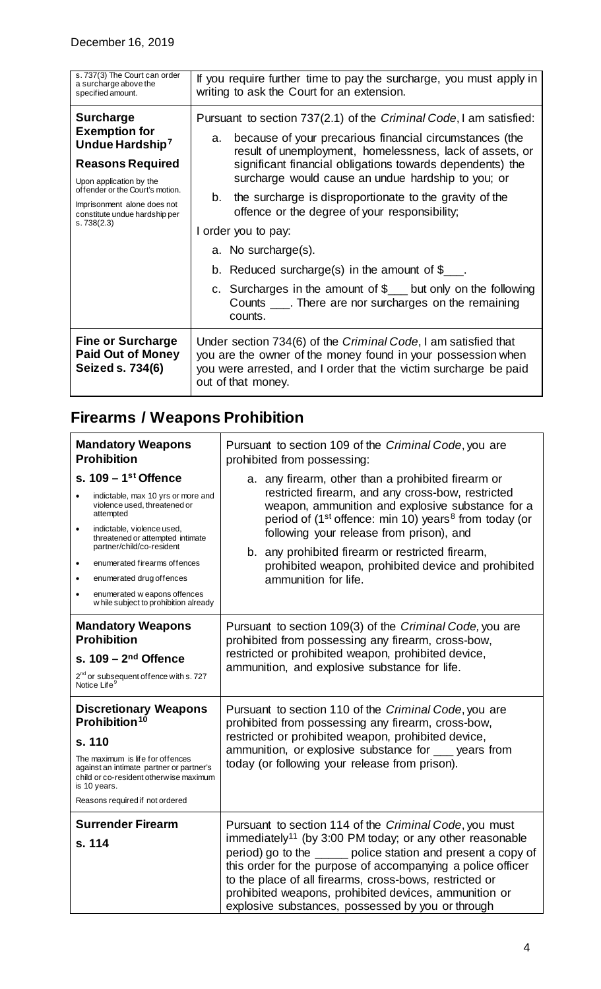| s. 737(3) The Court can order<br>a surcharge above the<br>specified amount.                                                                                                                                                                    | If you require further time to pay the surcharge, you must apply in<br>writing to ask the Court for an extension.                                                                                                                                                                                                                                                                                                                                                                                                                                                                                                                                                                                                  |  |
|------------------------------------------------------------------------------------------------------------------------------------------------------------------------------------------------------------------------------------------------|--------------------------------------------------------------------------------------------------------------------------------------------------------------------------------------------------------------------------------------------------------------------------------------------------------------------------------------------------------------------------------------------------------------------------------------------------------------------------------------------------------------------------------------------------------------------------------------------------------------------------------------------------------------------------------------------------------------------|--|
| <b>Surcharge</b><br><b>Exemption for</b><br>Undue Hardship <sup>7</sup><br><b>Reasons Required</b><br>Upon application by the<br>offender or the Court's motion.<br>Imprisonment alone does not<br>constitute undue hardship per<br>s.738(2.3) | Pursuant to section 737(2.1) of the <i>Criminal Code</i> , I am satisfied:<br>because of your precarious financial circumstances (the<br>a.<br>result of unemployment, homelessness, lack of assets, or<br>significant financial obligations towards dependents) the<br>surcharge would cause an undue hardship to you; or<br>the surcharge is disproportionate to the gravity of the<br>b.<br>offence or the degree of your responsibility;<br>I order you to pay:<br>a. No surcharge(s).<br>b. Reduced surcharge(s) in the amount of $\mathcal{S}_{\text{max}}$ .<br>c. Surcharges in the amount of $\frac{1}{2}$ but only on the following<br>Counts ____. There are nor surcharges on the remaining<br>counts. |  |
| <b>Fine or Surcharge</b><br><b>Paid Out of Money</b><br>Seized s. 734(6)                                                                                                                                                                       | Under section 734(6) of the Criminal Code, I am satisfied that<br>you are the owner of the money found in your possession when<br>you were arrested, and I order that the victim surcharge be paid<br>out of that money.                                                                                                                                                                                                                                                                                                                                                                                                                                                                                           |  |

# <span id="page-3-0"></span>**Firearms / Weapons Prohibition**

| <b>Mandatory Weapons</b><br><b>Prohibition</b>                                                                                                                                                                                                                                                                                                            | Pursuant to section 109 of the Criminal Code, you are<br>prohibited from possessing:                                                                                                                                                                                                                                                                                                                                                  |  |
|-----------------------------------------------------------------------------------------------------------------------------------------------------------------------------------------------------------------------------------------------------------------------------------------------------------------------------------------------------------|---------------------------------------------------------------------------------------------------------------------------------------------------------------------------------------------------------------------------------------------------------------------------------------------------------------------------------------------------------------------------------------------------------------------------------------|--|
| s. $109 - 1$ <sup>st</sup> Offence<br>indictable, max 10 yrs or more and<br>violence used, threatened or<br>attempted<br>indictable, violence used,<br>threatened or attempted intimate<br>partner/child/co-resident<br>enumerated firearms offences<br>enumerated drug offences<br>enumerated w eapons offences<br>w hile subject to prohibition already | a. any firearm, other than a prohibited firearm or<br>restricted firearm, and any cross-bow, restricted<br>weapon, ammunition and explosive substance for a<br>period of (1 <sup>st</sup> offence: min 10) years <sup>8</sup> from today (or<br>following your release from prison), and<br>b. any prohibited firearm or restricted firearm,<br>prohibited weapon, prohibited device and prohibited<br>ammunition for life.           |  |
| <b>Mandatory Weapons</b><br><b>Prohibition</b><br>s. $109 - 2nd$ Offence<br>2 <sup>nd</sup> or subsequent of fence with s. 727<br>Notice Life <sup>9</sup>                                                                                                                                                                                                | Pursuant to section 109(3) of the Criminal Code, you are<br>prohibited from possessing any firearm, cross-bow,<br>restricted or prohibited weapon, prohibited device,<br>ammunition, and explosive substance for life.                                                                                                                                                                                                                |  |
| <b>Discretionary Weapons</b><br>Prohibition <sup>10</sup><br>s. 110<br>The maximum is life for offences<br>against an intimate partner or partner's<br>child or co-resident otherwise maximum<br>is 10 years.<br>Reasons required if not ordered                                                                                                          | Pursuant to section 110 of the Criminal Code, you are<br>prohibited from possessing any firearm, cross-bow,<br>restricted or prohibited weapon, prohibited device,<br>ammunition, or explosive substance for same years from<br>today (or following your release from prison).                                                                                                                                                        |  |
| <b>Surrender Firearm</b><br>s. 114                                                                                                                                                                                                                                                                                                                        | Pursuant to section 114 of the Criminal Code, you must<br>immediately <sup>11</sup> (by 3:00 PM today; or any other reasonable<br>period) go to the same police station and present a copy of<br>this order for the purpose of accompanying a police officer<br>to the place of all firearms, cross-bows, restricted or<br>prohibited weapons, prohibited devices, ammunition or<br>explosive substances, possessed by you or through |  |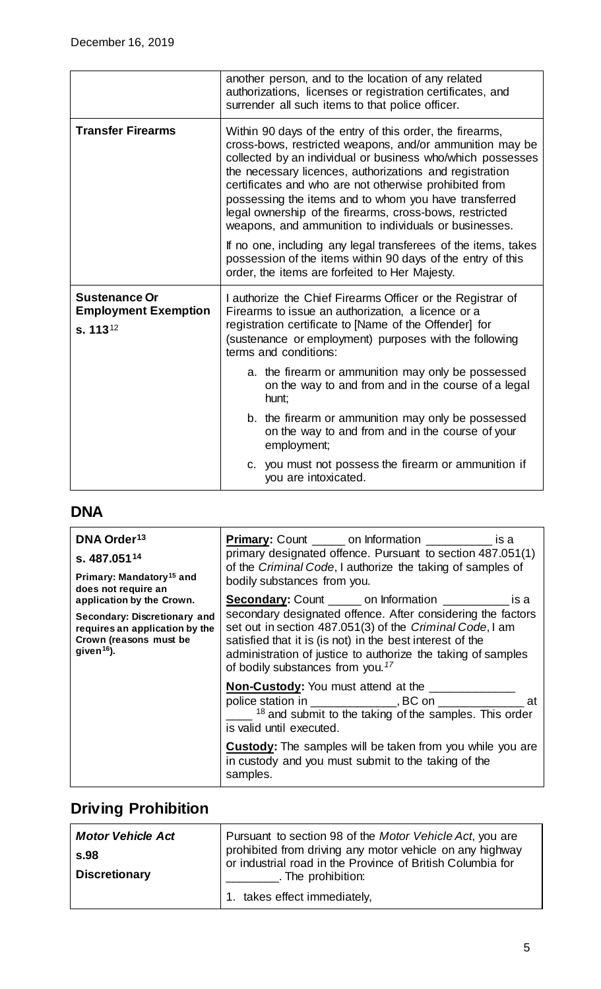|                                                                             | another person, and to the location of any related<br>authorizations, licenses or registration certificates, and<br>surrender all such items to that police officer.                                                                                                                                                                                                                                                                                                                 |
|-----------------------------------------------------------------------------|--------------------------------------------------------------------------------------------------------------------------------------------------------------------------------------------------------------------------------------------------------------------------------------------------------------------------------------------------------------------------------------------------------------------------------------------------------------------------------------|
| <b>Transfer Firearms</b>                                                    | Within 90 days of the entry of this order, the firearms,<br>cross-bows, restricted weapons, and/or ammunition may be<br>collected by an individual or business who/which possesses<br>the necessary licences, authorizations and registration<br>certificates and who are not otherwise prohibited from<br>possessing the items and to whom you have transferred<br>legal ownership of the firearms, cross-bows, restricted<br>weapons, and ammunition to individuals or businesses. |
|                                                                             | If no one, including any legal transferees of the items, takes<br>possession of the items within 90 days of the entry of this<br>order, the items are forfeited to Her Majesty.                                                                                                                                                                                                                                                                                                      |
| <b>Sustenance Or</b><br><b>Employment Exemption</b><br>s. 113 <sup>12</sup> | I authorize the Chief Firearms Officer or the Registrar of<br>Firearms to issue an authorization, a licence or a<br>registration certificate to [Name of the Offender] for<br>(sustenance or employment) purposes with the following<br>terms and conditions:                                                                                                                                                                                                                        |
|                                                                             | a. the firearm or ammunition may only be possessed<br>on the way to and from and in the course of a legal<br>hunt;                                                                                                                                                                                                                                                                                                                                                                   |
|                                                                             | b. the firearm or ammunition may only be possessed<br>on the way to and from and in the course of your<br>employment;                                                                                                                                                                                                                                                                                                                                                                |
|                                                                             | c. you must not possess the firearm or ammunition if<br>you are intoxicated.                                                                                                                                                                                                                                                                                                                                                                                                         |

## <span id="page-4-2"></span><span id="page-4-0"></span>**DNA**

<span id="page-4-4"></span><span id="page-4-3"></span>

| DNA Order <sup>13</sup><br>s. 487.051 <sup>14</sup><br>Primary: Mandatory <sup>15</sup> and<br>does not require an | <b>Primary:</b> Count ______ on Information __________ is a<br>primary designated offence. Pursuant to section 487.051(1)<br>of the Criminal Code, I authorize the taking of samples of<br>bodily substances from you.                                                                               |
|--------------------------------------------------------------------------------------------------------------------|------------------------------------------------------------------------------------------------------------------------------------------------------------------------------------------------------------------------------------------------------------------------------------------------------|
| application by the Crown.                                                                                          | <b>Secondary:</b> Count ______ on Information ___________ is a                                                                                                                                                                                                                                       |
| Secondary: Discretionary and<br>requires an application by the<br>Crown (reasons must be<br>given $16$ ).          | secondary designated offence. After considering the factors<br>set out in section 487.051(3) of the Criminal Code, I am<br>satisfied that it is (is not) in the best interest of the<br>administration of justice to authorize the taking of samples<br>of bodily substances from you. <sup>17</sup> |
|                                                                                                                    | <b>Non-Custody:</b> You must attend at the<br>police station in ________________, BC on ________________ at<br>$18$ and submit to the taking of the samples. This order<br>is valid until executed.                                                                                                  |
|                                                                                                                    | <b>Custody:</b> The samples will be taken from you while you are<br>in custody and you must submit to the taking of the<br>samples.                                                                                                                                                                  |

# <span id="page-4-6"></span><span id="page-4-5"></span><span id="page-4-1"></span>**Driving Prohibition**

<span id="page-4-8"></span><span id="page-4-7"></span>

| Pursuant to section 98 of the Motor Vehicle Act, you are<br><b>Motor Vehicle Act</b><br>s.98<br><b>Discretionary</b> | prohibited from driving any motor vehicle on any highway<br>or industrial road in the Province of British Columbia for |
|----------------------------------------------------------------------------------------------------------------------|------------------------------------------------------------------------------------------------------------------------|
|                                                                                                                      | . The prohibition:<br>1. takes effect immediately,                                                                     |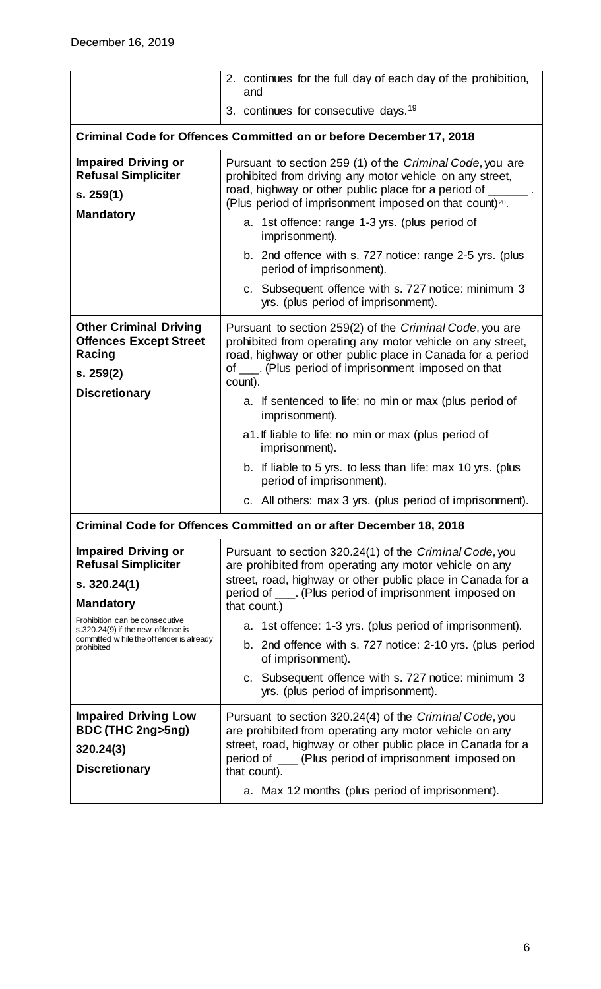<span id="page-5-19"></span><span id="page-5-18"></span><span id="page-5-17"></span><span id="page-5-16"></span><span id="page-5-15"></span><span id="page-5-14"></span><span id="page-5-13"></span><span id="page-5-12"></span><span id="page-5-11"></span><span id="page-5-10"></span><span id="page-5-9"></span><span id="page-5-8"></span><span id="page-5-7"></span><span id="page-5-6"></span><span id="page-5-5"></span><span id="page-5-4"></span><span id="page-5-3"></span><span id="page-5-2"></span><span id="page-5-1"></span><span id="page-5-0"></span>

|                                                                                                                               | 2. continues for the full day of each day of the prohibition,<br>and                                                                                                                                                                                        |
|-------------------------------------------------------------------------------------------------------------------------------|-------------------------------------------------------------------------------------------------------------------------------------------------------------------------------------------------------------------------------------------------------------|
|                                                                                                                               | 3. continues for consecutive days. <sup>19</sup>                                                                                                                                                                                                            |
|                                                                                                                               | <b>Criminal Code for Offences Committed on or before December 17, 2018</b>                                                                                                                                                                                  |
| <b>Impaired Driving or</b><br><b>Refusal Simpliciter</b><br>s. 259(1)                                                         | Pursuant to section 259 (1) of the Criminal Code, you are<br>prohibited from driving any motor vehicle on any street,<br>road, highway or other public place for a period of ____<br>(Plus period of imprisonment imposed on that count) <sup>20</sup> .    |
| <b>Mandatory</b>                                                                                                              | a. 1st offence: range 1-3 yrs. (plus period of<br>imprisonment).                                                                                                                                                                                            |
|                                                                                                                               | b. 2nd offence with s. 727 notice: range 2-5 yrs. (plus<br>period of imprisonment).                                                                                                                                                                         |
|                                                                                                                               | c. Subsequent offence with s. 727 notice: minimum 3<br>yrs. (plus period of imprisonment).                                                                                                                                                                  |
| <b>Other Criminal Driving</b><br><b>Offences Except Street</b><br>Racing<br>s. 259(2)                                         | Pursuant to section 259(2) of the Criminal Code, you are<br>prohibited from operating any motor vehicle on any street,<br>road, highway or other public place in Canada for a period<br>of ____. (Plus period of imprisonment imposed on that<br>count).    |
| <b>Discretionary</b>                                                                                                          | a. If sentenced to life: no min or max (plus period of<br>imprisonment).                                                                                                                                                                                    |
|                                                                                                                               | a1. If liable to life: no min or max (plus period of<br>imprisonment).                                                                                                                                                                                      |
|                                                                                                                               | b. If liable to 5 yrs. to less than life: max 10 yrs. (plus<br>period of imprisonment).                                                                                                                                                                     |
|                                                                                                                               | c. All others: max 3 yrs. (plus period of imprisonment).                                                                                                                                                                                                    |
|                                                                                                                               | Criminal Code for Offences Committed on or after December 18, 2018                                                                                                                                                                                          |
| <b>Impaired Driving or</b><br><b>Refusal Simpliciter</b><br>s. 320.24(1)<br><b>Mandatory</b>                                  | Pursuant to section 320.24(1) of the Criminal Code, you<br>are prohibited from operating any motor vehicle on any<br>street, road, highway or other public place in Canada for a<br>period of ____. (Plus period of imprisonment imposed on<br>that count.) |
| Prohibition can be consecutive<br>s.320.24(9) if the new offence is<br>committed w hile the offender is already<br>prohibited | a. 1st offence: 1-3 yrs. (plus period of imprisonment).<br>b. 2nd offence with s. 727 notice: 2-10 yrs. (plus period<br>of imprisonment).<br>c. Subsequent offence with s. 727 notice: minimum 3                                                            |
|                                                                                                                               | yrs. (plus period of imprisonment).                                                                                                                                                                                                                         |
| <b>Impaired Driving Low</b><br>BDC (THC 2ng>5ng)<br>320.24(3)<br><b>Discretionary</b>                                         | Pursuant to section 320.24(4) of the Criminal Code, you<br>are prohibited from operating any motor vehicle on any<br>street, road, highway or other public place in Canada for a<br>period of ___ (Plus period of imprisonment imposed on<br>that count).   |
|                                                                                                                               | a. Max 12 months (plus period of imprisonment).                                                                                                                                                                                                             |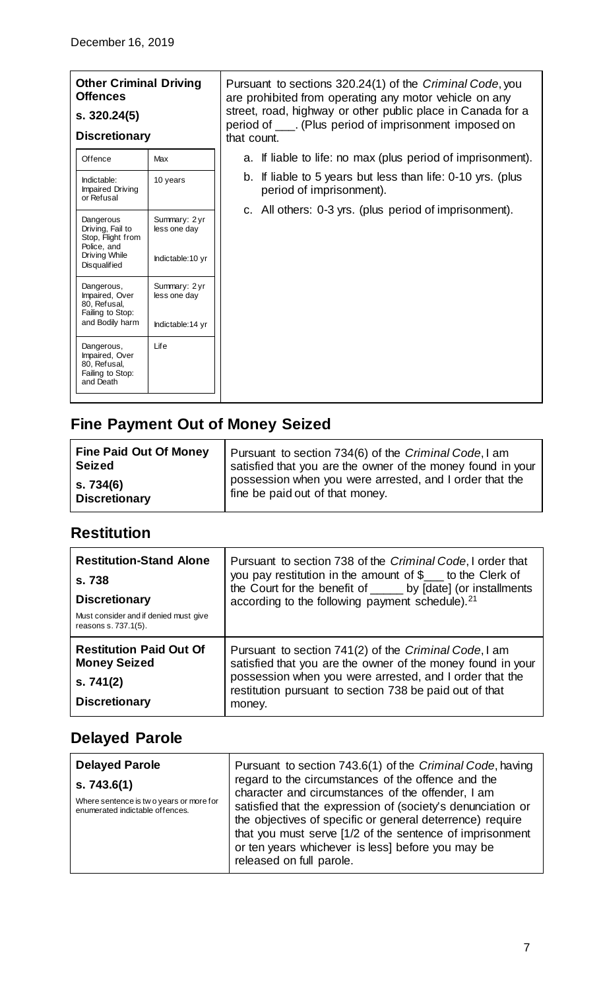#### **Other Criminal Driving Offences s. 320.24(5)**

#### **Discretionary**

<span id="page-6-5"></span><span id="page-6-4"></span><span id="page-6-3"></span>

| Offence                                                                       | Max                           |
|-------------------------------------------------------------------------------|-------------------------------|
| Indictable:<br><b>Impaired Driving</b><br>or Refusal                          | 10 years                      |
| Dangerous<br>Driving, Fail to<br>Stop, Flight from<br>Police, and             | Summary: 2 yr<br>less one day |
| Driving While<br><b>Disqualified</b>                                          | Indictable:10 yr              |
| Dangerous,<br>Impaired, Over<br>80, Refusal,<br>Failing to Stop:              | Summary: 2 yr<br>less one day |
| and Bodily harm                                                               | Indictable:14 yr              |
| Dangerous,<br>Impaired, Over<br>80, Refusal,<br>Failing to Stop:<br>and Death | life                          |

Pursuant to sections 320.24(1) of the *Criminal Code*, you are prohibited from operating any motor vehicle on any street, road, highway or other public place in Canada for a period of \_\_\_. (Plus period of imprisonment imposed on that count.

- a. If liable to life: no max (plus period of imprisonment).
- b. If liable to 5 years but less than life: 0-10 yrs. (plus period of imprisonment).
- c. All others: 0-3 yrs. (plus period of imprisonment).

## <span id="page-6-9"></span><span id="page-6-8"></span><span id="page-6-7"></span><span id="page-6-6"></span><span id="page-6-0"></span>**Fine Payment Out of Money Seized**

<span id="page-6-10"></span>

| <b>Fine Paid Out Of Money</b> | Pursuant to section 734(6) of the Criminal Code, I am       |
|-------------------------------|-------------------------------------------------------------|
| <b>Seized</b>                 | satisfied that you are the owner of the money found in your |
| s. 734(6)                     | possession when you were arrested, and I order that the     |
| <b>Discretionary</b>          | fine be paid out of that money.                             |

### <span id="page-6-13"></span><span id="page-6-12"></span><span id="page-6-11"></span><span id="page-6-1"></span>**Restitution**

<span id="page-6-15"></span><span id="page-6-14"></span>

| <b>Restitution-Stand Alone</b><br>s. 738<br><b>Discretionary</b><br>Must consider and if denied must give<br>reasons s. 737.1(5). | Pursuant to section 738 of the Criminal Code, I order that<br>you pay restitution in the amount of \$___ to the Clerk of<br>the Court for the benefit of _____ by [date] (or installments<br>according to the following payment schedule). <sup>21</sup> |
|-----------------------------------------------------------------------------------------------------------------------------------|----------------------------------------------------------------------------------------------------------------------------------------------------------------------------------------------------------------------------------------------------------|
| <b>Restitution Paid Out Of</b><br><b>Money Seized</b><br>s.741(2)<br><b>Discretionary</b>                                         | Pursuant to section 741(2) of the Criminal Code, I am<br>satisfied that you are the owner of the money found in your<br>possession when you were arrested, and I order that the<br>restitution pursuant to section 738 be paid out of that<br>money.     |

### <span id="page-6-21"></span><span id="page-6-20"></span><span id="page-6-19"></span><span id="page-6-18"></span><span id="page-6-17"></span><span id="page-6-16"></span><span id="page-6-2"></span>**Delayed Parole**

<span id="page-6-24"></span><span id="page-6-23"></span><span id="page-6-22"></span>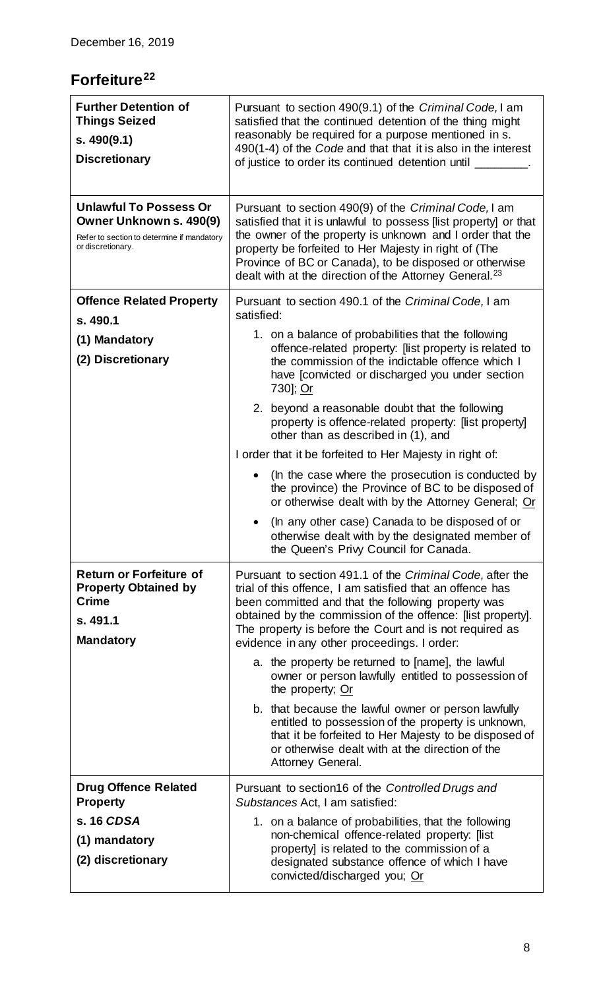## <span id="page-7-0"></span>**Forfeiture[22](#page-5-14)**

<span id="page-7-15"></span><span id="page-7-14"></span><span id="page-7-13"></span><span id="page-7-12"></span><span id="page-7-11"></span><span id="page-7-10"></span><span id="page-7-9"></span><span id="page-7-8"></span><span id="page-7-7"></span><span id="page-7-6"></span><span id="page-7-5"></span><span id="page-7-4"></span><span id="page-7-3"></span><span id="page-7-2"></span><span id="page-7-1"></span>

| <b>Further Detention of</b><br><b>Things Seized</b><br>s.490(9.1)<br><b>Discretionary</b>                                   | Pursuant to section 490(9.1) of the Criminal Code, I am<br>satisfied that the continued detention of the thing might<br>reasonably be required for a purpose mentioned in s.<br>490(1-4) of the Code and that that it is also in the interest<br>of justice to order its continued detention until                                                                              |
|-----------------------------------------------------------------------------------------------------------------------------|---------------------------------------------------------------------------------------------------------------------------------------------------------------------------------------------------------------------------------------------------------------------------------------------------------------------------------------------------------------------------------|
| <b>Unlawful To Possess Or</b><br>Owner Unknown s. 490(9)<br>Refer to section to determine if mandatory<br>or discretionary. | Pursuant to section 490(9) of the Criminal Code, I am<br>satisfied that it is unlawful to possess [list property] or that<br>the owner of the property is unknown and I order that the<br>property be forfeited to Her Majesty in right of (The<br>Province of BC or Canada), to be disposed or otherwise<br>dealt with at the direction of the Attorney General. <sup>23</sup> |
| <b>Offence Related Property</b><br>s. 490.1                                                                                 | Pursuant to section 490.1 of the Criminal Code, I am<br>satisfied:                                                                                                                                                                                                                                                                                                              |
| (1) Mandatory<br>(2) Discretionary                                                                                          | 1. on a balance of probabilities that the following<br>offence-related property: [list property is related to<br>the commission of the indictable offence which I<br>have [convicted or discharged you under section<br>730]; Or                                                                                                                                                |
|                                                                                                                             | 2. beyond a reasonable doubt that the following<br>property is offence-related property: [list property]<br>other than as described in (1), and                                                                                                                                                                                                                                 |
|                                                                                                                             | I order that it be forfeited to Her Majesty in right of:                                                                                                                                                                                                                                                                                                                        |
|                                                                                                                             | (In the case where the prosecution is conducted by<br>the province) the Province of BC to be disposed of<br>or otherwise dealt with by the Attorney General; Or                                                                                                                                                                                                                 |
|                                                                                                                             | (In any other case) Canada to be disposed of or<br>otherwise dealt with by the designated member of<br>the Queen's Privy Council for Canada.                                                                                                                                                                                                                                    |
| <b>Return or Forfeiture of</b><br><b>Property Obtained by</b><br><b>Crime</b><br>s. 491.1<br><b>Mandatory</b>               | Pursuant to section 491.1 of the Criminal Code, after the<br>trial of this offence, I am satisfied that an offence has<br>been committed and that the following property was<br>obtained by the commission of the offence: [list property].<br>The property is before the Court and is not required as<br>evidence in any other proceedings. I order:                           |
|                                                                                                                             | a. the property be returned to [name], the lawful<br>owner or person lawfully entitled to possession of<br>the property; Or                                                                                                                                                                                                                                                     |
|                                                                                                                             | b. that because the lawful owner or person lawfully<br>entitled to possession of the property is unknown,<br>that it be forfeited to Her Majesty to be disposed of<br>or otherwise dealt with at the direction of the<br>Attorney General.                                                                                                                                      |
| <b>Drug Offence Related</b><br><b>Property</b>                                                                              | Pursuant to section16 of the Controlled Drugs and<br>Substances Act, I am satisfied:                                                                                                                                                                                                                                                                                            |
| s. 16 CDSA                                                                                                                  | 1. on a balance of probabilities, that the following                                                                                                                                                                                                                                                                                                                            |
| (1) mandatory<br>(2) discretionary                                                                                          | non-chemical offence-related property: [list]<br>property] is related to the commission of a<br>designated substance offence of which I have<br>convicted/discharged you; Or                                                                                                                                                                                                    |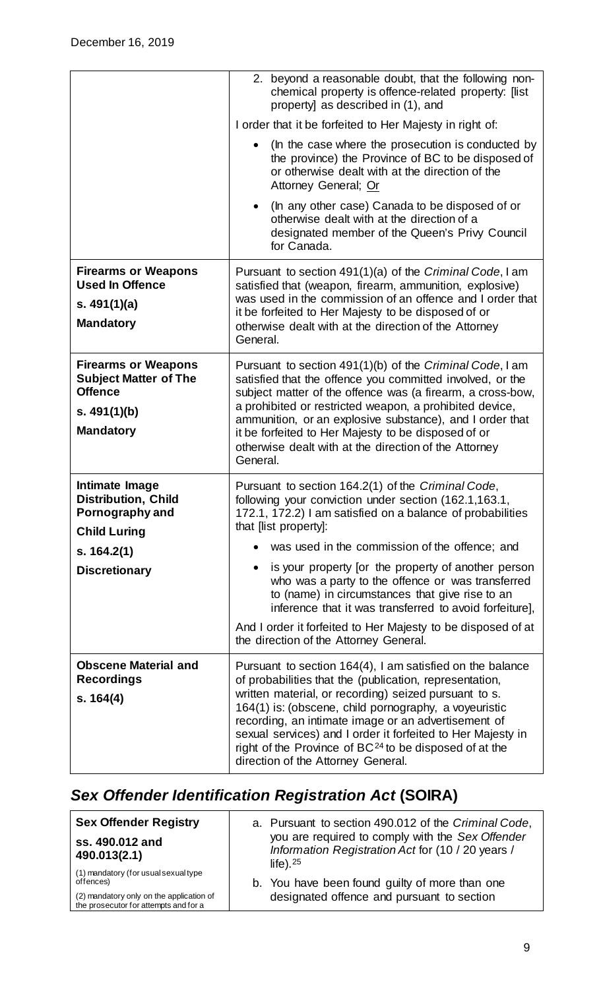|                                                                                                                    | 2. beyond a reasonable doubt, that the following non-<br>chemical property is offence-related property: [list]<br>property] as described in (1), and                                                                                                                                                                                                                                                                                                              |
|--------------------------------------------------------------------------------------------------------------------|-------------------------------------------------------------------------------------------------------------------------------------------------------------------------------------------------------------------------------------------------------------------------------------------------------------------------------------------------------------------------------------------------------------------------------------------------------------------|
|                                                                                                                    | I order that it be forfeited to Her Majesty in right of:                                                                                                                                                                                                                                                                                                                                                                                                          |
|                                                                                                                    | (In the case where the prosecution is conducted by<br>the province) the Province of BC to be disposed of<br>or otherwise dealt with at the direction of the<br>Attorney General; Or                                                                                                                                                                                                                                                                               |
|                                                                                                                    | (In any other case) Canada to be disposed of or<br>$\bullet$<br>otherwise dealt with at the direction of a<br>designated member of the Queen's Privy Council<br>for Canada.                                                                                                                                                                                                                                                                                       |
| <b>Firearms or Weapons</b><br><b>Used In Offence</b><br>s. $491(1)(a)$<br><b>Mandatory</b>                         | Pursuant to section 491(1)(a) of the Criminal Code, I am<br>satisfied that (weapon, firearm, ammunition, explosive)<br>was used in the commission of an offence and I order that<br>it be forfeited to Her Majesty to be disposed of or<br>otherwise dealt with at the direction of the Attorney                                                                                                                                                                  |
|                                                                                                                    | General.                                                                                                                                                                                                                                                                                                                                                                                                                                                          |
| <b>Firearms or Weapons</b><br><b>Subject Matter of The</b><br><b>Offence</b><br>s. $491(1)(b)$<br><b>Mandatory</b> | Pursuant to section 491(1)(b) of the Criminal Code, I am<br>satisfied that the offence you committed involved, or the<br>subject matter of the offence was (a firearm, a cross-bow,<br>a prohibited or restricted weapon, a prohibited device,<br>ammunition, or an explosive substance), and I order that<br>it be forfeited to Her Majesty to be disposed of or<br>otherwise dealt with at the direction of the Attorney<br>General.                            |
| Intimate Image<br><b>Distribution, Child</b><br>Pornography and<br><b>Child Luring</b>                             | Pursuant to section 164.2(1) of the Criminal Code,<br>following your conviction under section (162.1,163.1,<br>172.1, 172.2) I am satisfied on a balance of probabilities<br>that [list property]:                                                                                                                                                                                                                                                                |
| s. 164.2(1)                                                                                                        | was used in the commission of the offence; and                                                                                                                                                                                                                                                                                                                                                                                                                    |
| <b>Discretionary</b>                                                                                               | is your property [or the property of another person<br>$\bullet$<br>who was a party to the offence or was transferred<br>to (name) in circumstances that give rise to an<br>inference that it was transferred to avoid forfeiture],                                                                                                                                                                                                                               |
|                                                                                                                    | And I order it forfeited to Her Majesty to be disposed of at<br>the direction of the Attorney General.                                                                                                                                                                                                                                                                                                                                                            |
| <b>Obscene Material and</b><br><b>Recordings</b><br>s. 164(4)                                                      | Pursuant to section 164(4), I am satisfied on the balance<br>of probabilities that the (publication, representation,<br>written material, or recording) seized pursuant to s.<br>164(1) is: (obscene, child pornography, a voyeuristic<br>recording, an intimate image or an advertisement of<br>sexual services) and I order it forfeited to Her Majesty in<br>right of the Province of $BC^{24}$ to be disposed of at the<br>direction of the Attorney General. |
|                                                                                                                    |                                                                                                                                                                                                                                                                                                                                                                                                                                                                   |

# <span id="page-8-0"></span>*Sex Offender Identification Registration Act* **(SOIRA)**

| <b>Sex Offender Registry</b>                                                      | a. Pursuant to section 490.012 of the Criminal Code,                                                                                                                                                                 |
|-----------------------------------------------------------------------------------|----------------------------------------------------------------------------------------------------------------------------------------------------------------------------------------------------------------------|
| ss. 490.012 and<br>490.013(2.1)                                                   | you are required to comply with the Sex Offender<br>Information Registration Act for (10 / 20 years /<br>life). $25$<br>b. You have been found guilty of more than one<br>designated offence and pursuant to section |
| (1) mandatory (for usual sexual type<br>offences)                                 |                                                                                                                                                                                                                      |
| (2) mandatory only on the application of<br>the prosecutor for attempts and for a |                                                                                                                                                                                                                      |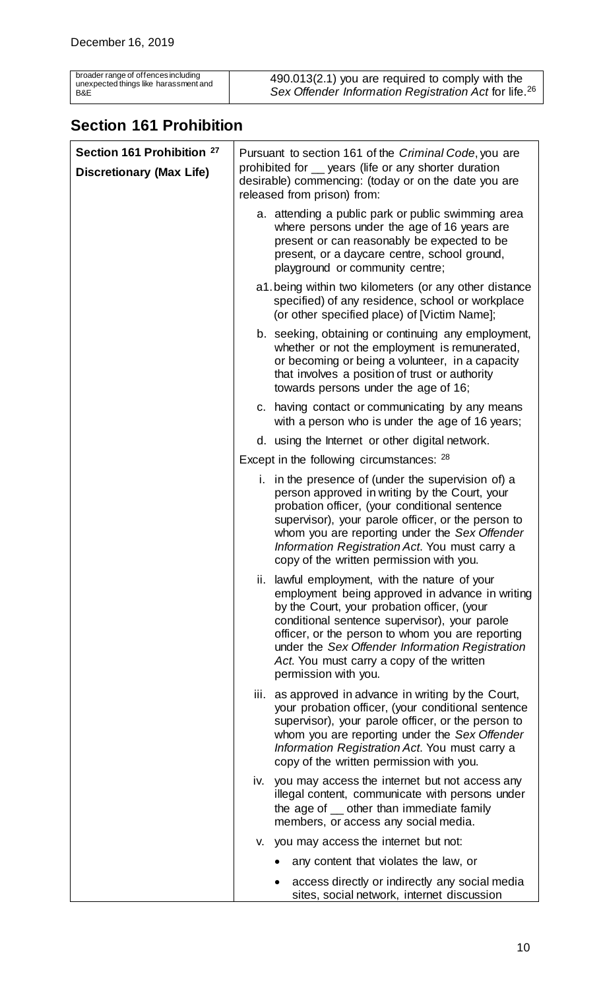| broader range of offences including   |
|---------------------------------------|
| unexpected things like harassment and |
| B&F                                   |

## <span id="page-9-0"></span>**Section 161 Prohibition**

| Section 161 Prohibition <sup>27</sup> | Pursuant to section 161 of the Criminal Code, you are                                                                                                                                                                                                                                                                                                                         |
|---------------------------------------|-------------------------------------------------------------------------------------------------------------------------------------------------------------------------------------------------------------------------------------------------------------------------------------------------------------------------------------------------------------------------------|
| <b>Discretionary (Max Life)</b>       | prohibited for __ years (life or any shorter duration<br>desirable) commencing: (today or on the date you are<br>released from prison) from:                                                                                                                                                                                                                                  |
|                                       | a. attending a public park or public swimming area<br>where persons under the age of 16 years are<br>present or can reasonably be expected to be<br>present, or a daycare centre, school ground,<br>playground or community centre;                                                                                                                                           |
|                                       | a1. being within two kilometers (or any other distance<br>specified) of any residence, school or workplace<br>(or other specified place) of [Victim Name];                                                                                                                                                                                                                    |
|                                       | b. seeking, obtaining or continuing any employment,<br>whether or not the employment is remunerated,<br>or becoming or being a volunteer, in a capacity<br>that involves a position of trust or authority<br>towards persons under the age of 16;                                                                                                                             |
|                                       | c. having contact or communicating by any means<br>with a person who is under the age of 16 years;                                                                                                                                                                                                                                                                            |
|                                       | d. using the Internet or other digital network.                                                                                                                                                                                                                                                                                                                               |
|                                       | Except in the following circumstances: 28                                                                                                                                                                                                                                                                                                                                     |
|                                       | i. in the presence of (under the supervision of) a<br>person approved in writing by the Court, your<br>probation officer, (your conditional sentence<br>supervisor), your parole officer, or the person to<br>whom you are reporting under the Sex Offender<br>Information Registration Act. You must carry a<br>copy of the written permission with you.                     |
|                                       | ii. lawful employment, with the nature of your<br>employment being approved in advance in writing<br>by the Court, your probation officer, (your<br>conditional sentence supervisor), your parole<br>officer, or the person to whom you are reporting<br>under the Sex Offender Information Registration<br>Act. You must carry a copy of the written<br>permission with you. |
|                                       | as approved in advance in writing by the Court,<br>iii.<br>your probation officer, (your conditional sentence<br>supervisor), your parole officer, or the person to<br>whom you are reporting under the Sex Offender<br>Information Registration Act. You must carry a<br>copy of the written permission with you.                                                            |
|                                       | iv. you may access the internet but not access any<br>illegal content, communicate with persons under<br>the age of _ other than immediate family<br>members, or access any social media.                                                                                                                                                                                     |
|                                       | you may access the internet but not:<br>V.                                                                                                                                                                                                                                                                                                                                    |
|                                       | any content that violates the law, or                                                                                                                                                                                                                                                                                                                                         |
|                                       | access directly or indirectly any social media<br>sites, social network, internet discussion                                                                                                                                                                                                                                                                                  |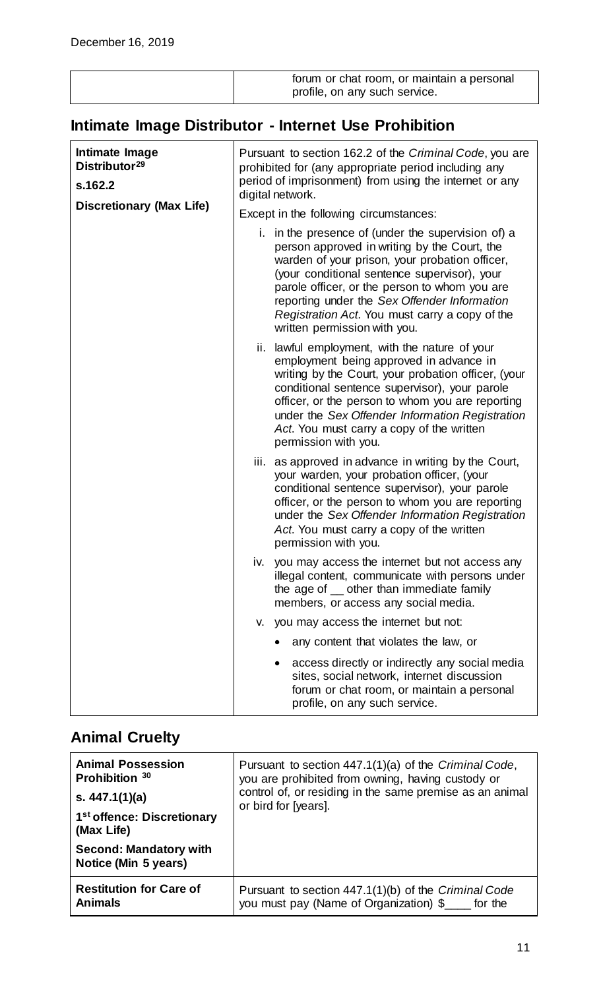| forum or chat room, or maintain a personal |
|--------------------------------------------|
| profile, on any such service.              |

# <span id="page-10-0"></span>**Intimate Image Distributor - Internet Use Prohibition**

| Intimate Image<br>Distributor <sup>29</sup><br>s.162.2<br><b>Discretionary (Max Life)</b> | Pursuant to section 162.2 of the Criminal Code, you are<br>prohibited for (any appropriate period including any<br>period of imprisonment) from using the internet or any<br>digital network.<br>Except in the following circumstances:                                                                                                                                                 |
|-------------------------------------------------------------------------------------------|-----------------------------------------------------------------------------------------------------------------------------------------------------------------------------------------------------------------------------------------------------------------------------------------------------------------------------------------------------------------------------------------|
|                                                                                           | i. in the presence of (under the supervision of) a<br>person approved in writing by the Court, the<br>warden of your prison, your probation officer,<br>(your conditional sentence supervisor), your<br>parole officer, or the person to whom you are<br>reporting under the Sex Offender Information<br>Registration Act. You must carry a copy of the<br>written permission with you. |
|                                                                                           | ii. lawful employment, with the nature of your<br>employment being approved in advance in<br>writing by the Court, your probation officer, (your<br>conditional sentence supervisor), your parole<br>officer, or the person to whom you are reporting<br>under the Sex Offender Information Registration<br>Act. You must carry a copy of the written<br>permission with you.           |
|                                                                                           | iii. as approved in advance in writing by the Court,<br>your warden, your probation officer, (your<br>conditional sentence supervisor), your parole<br>officer, or the person to whom you are reporting<br>under the Sex Offender Information Registration<br>Act. You must carry a copy of the written<br>permission with you.                                                         |
|                                                                                           | you may access the internet but not access any<br>iv.<br>illegal content, communicate with persons under<br>the age of _ other than immediate family<br>members, or access any social media.                                                                                                                                                                                            |
|                                                                                           | you may access the internet but not:<br>v.                                                                                                                                                                                                                                                                                                                                              |
|                                                                                           | any content that violates the law, or                                                                                                                                                                                                                                                                                                                                                   |
|                                                                                           | access directly or indirectly any social media<br>sites, social network, internet discussion<br>forum or chat room, or maintain a personal<br>profile, on any such service.                                                                                                                                                                                                             |

## <span id="page-10-1"></span>**Animal Cruelty**

| <b>Animal Possession</b><br>Prohibition 30<br>s. $447.1(1)(a)$<br>1 <sup>st</sup> offence: Discretionary<br>(Max Life)<br><b>Second: Mandatory with</b><br>Notice (Min 5 years) | Pursuant to section 447.1(1)(a) of the Criminal Code,<br>you are prohibited from owning, having custody or<br>control of, or residing in the same premise as an animal<br>or bird for [years]. |
|---------------------------------------------------------------------------------------------------------------------------------------------------------------------------------|------------------------------------------------------------------------------------------------------------------------------------------------------------------------------------------------|
| <b>Restitution for Care of</b>                                                                                                                                                  | Pursuant to section 447.1(1)(b) of the Criminal Code                                                                                                                                           |
| <b>Animals</b>                                                                                                                                                                  | you must pay (Name of Organization) \$ ____ for the                                                                                                                                            |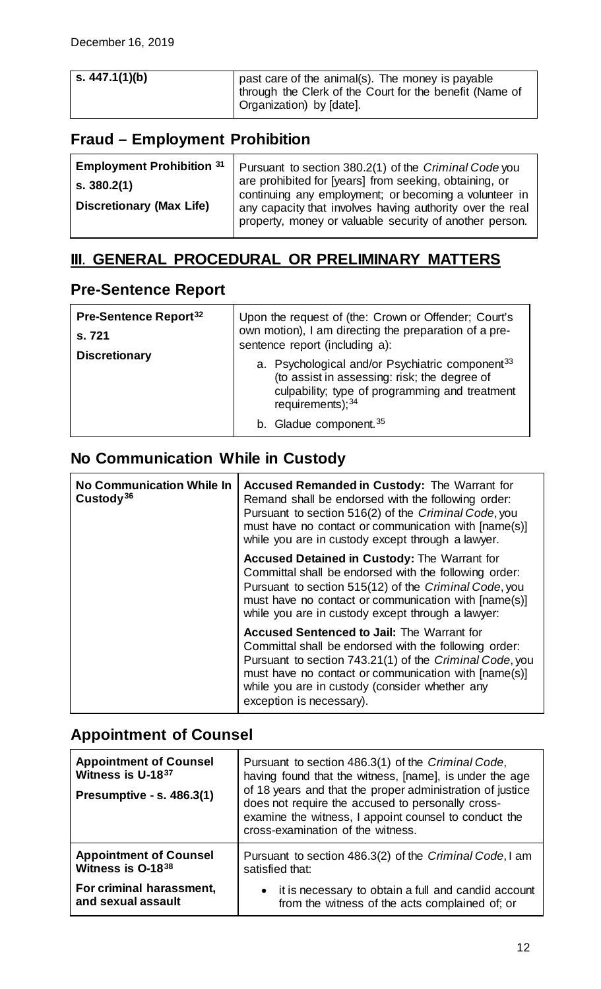## <span id="page-11-0"></span>**Fraud – Employment Prohibition**

| <b>Employment Prohibition 31</b><br>s. 380.2(1)<br><b>Discretionary (Max Life)</b> | Pursuant to section 380.2(1) of the Criminal Code you<br>are prohibited for [years] from seeking, obtaining, or<br>continuing any employment; or becoming a volunteer in<br>any capacity that involves having authority over the real<br>property, money or valuable security of another person. |
|------------------------------------------------------------------------------------|--------------------------------------------------------------------------------------------------------------------------------------------------------------------------------------------------------------------------------------------------------------------------------------------------|
|------------------------------------------------------------------------------------|--------------------------------------------------------------------------------------------------------------------------------------------------------------------------------------------------------------------------------------------------------------------------------------------------|

## <span id="page-11-1"></span>**III**. **GENERAL PROCEDURAL OR PRELIMINARY MATTERS**

### <span id="page-11-2"></span>**Pre-Sentence Report**

| Pre-Sentence Report <sup>32</sup><br>s. 721 | Upon the request of (the: Crown or Offender; Court's<br>own motion), I am directing the preparation of a pre-<br>sentence report (including a):                                      |
|---------------------------------------------|--------------------------------------------------------------------------------------------------------------------------------------------------------------------------------------|
| <b>Discretionary</b>                        | a. Psychological and/or Psychiatric component <sup>33</sup><br>(to assist in assessing: risk; the degree of<br>culpability; type of programming and treatment<br>requirements); $34$ |
|                                             | b. Gladue component. <sup>35</sup>                                                                                                                                                   |

## <span id="page-11-3"></span>**No Communication While in Custody**

| <b>No Communication While In</b><br>Custody <sup>36</sup> | <b>Accused Remanded in Custody: The Warrant for</b><br>Remand shall be endorsed with the following order:<br>Pursuant to section 516(2) of the Criminal Code, you<br>must have no contact or communication with [name(s)]<br>while you are in custody except through a lawyer.                              |
|-----------------------------------------------------------|-------------------------------------------------------------------------------------------------------------------------------------------------------------------------------------------------------------------------------------------------------------------------------------------------------------|
|                                                           | <b>Accused Detained in Custody: The Warrant for</b><br>Committal shall be endorsed with the following order:<br>Pursuant to section 515(12) of the Criminal Code, you<br>must have no contact or communication with [name(s)]<br>while you are in custody except through a lawyer:                          |
|                                                           | <b>Accused Sentenced to Jail: The Warrant for</b><br>Committal shall be endorsed with the following order:<br>Pursuant to section 743.21(1) of the Criminal Code, you<br>must have no contact or communication with [name(s)]<br>while you are in custody (consider whether any<br>exception is necessary). |

## <span id="page-11-4"></span>**Appointment of Counsel**

| <b>Appointment of Counsel</b><br>Witness is U-1837<br><b>Presumptive - s. 486.3(1)</b> | Pursuant to section 486.3(1) of the Criminal Code,<br>having found that the witness, [name], is under the age<br>of 18 years and that the proper administration of justice<br>does not require the accused to personally cross-<br>examine the witness, I appoint counsel to conduct the<br>cross-examination of the witness. |  |
|----------------------------------------------------------------------------------------|-------------------------------------------------------------------------------------------------------------------------------------------------------------------------------------------------------------------------------------------------------------------------------------------------------------------------------|--|
| <b>Appointment of Counsel</b>                                                          | Pursuant to section 486.3(2) of the Criminal Code, I am                                                                                                                                                                                                                                                                       |  |
| Witness is O-1838                                                                      | satisfied that:                                                                                                                                                                                                                                                                                                               |  |
| For criminal harassment,                                                               | • it is necessary to obtain a full and candid account                                                                                                                                                                                                                                                                         |  |
| and sexual assault                                                                     | from the witness of the acts complained of; or                                                                                                                                                                                                                                                                                |  |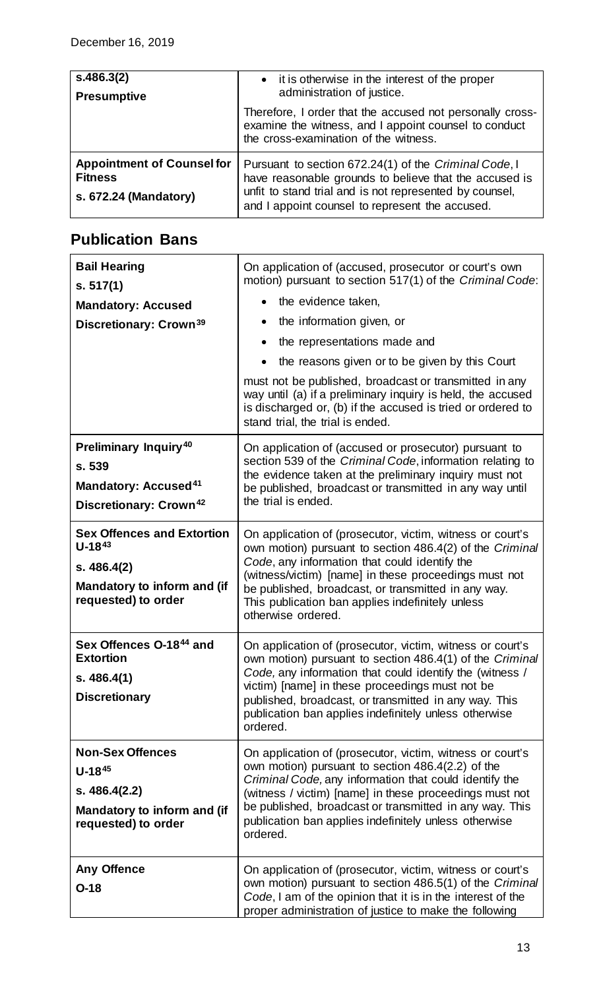| s.486.3(2)<br><b>Presumptive</b>                                             | • it is otherwise in the interest of the proper<br>administration of justice.                                                                                                                                                 |
|------------------------------------------------------------------------------|-------------------------------------------------------------------------------------------------------------------------------------------------------------------------------------------------------------------------------|
|                                                                              | Therefore, I order that the accused not personally cross-<br>examine the witness, and I appoint counsel to conduct<br>the cross-examination of the witness.                                                                   |
| <b>Appointment of Counsel for</b><br><b>Fitness</b><br>s. 672.24 (Mandatory) | Pursuant to section 672.24(1) of the Criminal Code, I<br>have reasonable grounds to believe that the accused is<br>unfit to stand trial and is not represented by counsel,<br>and I appoint counsel to represent the accused. |

## <span id="page-12-0"></span>**Publication Bans**

| <b>Bail Hearing</b><br>s. 517(1)<br><b>Mandatory: Accused</b><br>Discretionary: Crown <sup>39</sup>                               | On application of (accused, prosecutor or court's own<br>motion) pursuant to section 517(1) of the Criminal Code:<br>the evidence taken,<br>the information given, or<br>the representations made and<br>$\bullet$<br>the reasons given or to be given by this Court<br>must not be published, broadcast or transmitted in any<br>way until (a) if a preliminary inquiry is held, the accused<br>is discharged or, (b) if the accused is tried or ordered to<br>stand trial, the trial is ended. |  |
|-----------------------------------------------------------------------------------------------------------------------------------|--------------------------------------------------------------------------------------------------------------------------------------------------------------------------------------------------------------------------------------------------------------------------------------------------------------------------------------------------------------------------------------------------------------------------------------------------------------------------------------------------|--|
| <b>Preliminary Inquiry<sup>40</sup></b><br>s. 539<br><b>Mandatory: Accused<sup>41</sup></b><br>Discretionary: Crown <sup>42</sup> | On application of (accused or prosecutor) pursuant to<br>section 539 of the Criminal Code, information relating to<br>the evidence taken at the preliminary inquiry must not<br>be published, broadcast or transmitted in any way until<br>the trial is ended.                                                                                                                                                                                                                                   |  |
| <b>Sex Offences and Extortion</b><br>$U - 18^{43}$<br>s.486.4(2)<br>Mandatory to inform and (if<br>requested) to order            | On application of (prosecutor, victim, witness or court's<br>own motion) pursuant to section 486.4(2) of the Criminal<br>Code, any information that could identify the<br>(witness/victim) [name] in these proceedings must not<br>be published, broadcast, or transmitted in any way.<br>This publication ban applies indefinitely unless<br>otherwise ordered.                                                                                                                                 |  |
| Sex Offences O-1844 and<br><b>Extortion</b><br>s.486.4(1)<br><b>Discretionary</b>                                                 | On application of (prosecutor, victim, witness or court's<br>own motion) pursuant to section 486.4(1) of the Criminal<br>Code, any information that could identify the (witness /<br>victim) [name] in these proceedings must not be<br>published, broadcast, or transmitted in any way. This<br>publication ban applies indefinitely unless otherwise<br>ordered.                                                                                                                               |  |
| <b>Non-Sex Offences</b><br>$U - 1845$<br>s.486.4(2.2)<br>Mandatory to inform and (if<br>requested) to order                       | On application of (prosecutor, victim, witness or court's<br>own motion) pursuant to section 486.4(2.2) of the<br>Criminal Code, any information that could identify the<br>(witness / victim) [name] in these proceedings must not<br>be published, broadcast or transmitted in any way. This<br>publication ban applies indefinitely unless otherwise<br>ordered.                                                                                                                              |  |
| <b>Any Offence</b><br>$O-18$                                                                                                      | On application of (prosecutor, victim, witness or court's<br>own motion) pursuant to section 486.5(1) of the Criminal<br>Code, I am of the opinion that it is in the interest of the<br>proper administration of justice to make the following                                                                                                                                                                                                                                                   |  |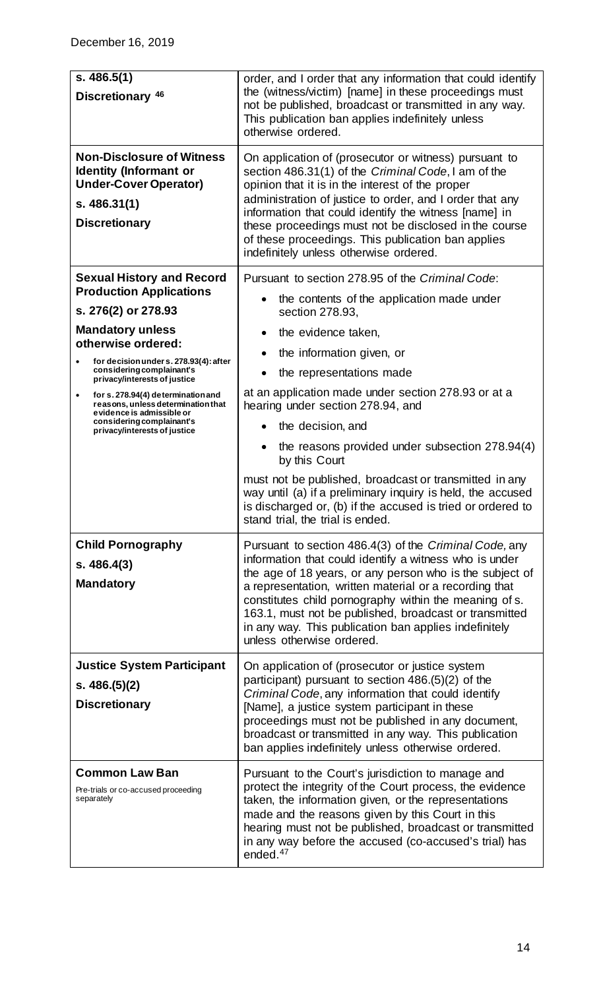| s.486.5(1)<br>Discretionary <sup>46</sup>                                                                                                                                                                                                                                                                                                                                                                               | order, and I order that any information that could identify<br>the (witness/victim) [name] in these proceedings must<br>not be published, broadcast or transmitted in any way.<br>This publication ban applies indefinitely unless<br>otherwise ordered.                                                                                                                                                                                                                                                                                                                                                                                     |  |  |
|-------------------------------------------------------------------------------------------------------------------------------------------------------------------------------------------------------------------------------------------------------------------------------------------------------------------------------------------------------------------------------------------------------------------------|----------------------------------------------------------------------------------------------------------------------------------------------------------------------------------------------------------------------------------------------------------------------------------------------------------------------------------------------------------------------------------------------------------------------------------------------------------------------------------------------------------------------------------------------------------------------------------------------------------------------------------------------|--|--|
| <b>Non-Disclosure of Witness</b><br><b>Identity (Informant or</b><br><b>Under-Cover Operator)</b><br>s.486.31(1)<br><b>Discretionary</b>                                                                                                                                                                                                                                                                                | On application of (prosecutor or witness) pursuant to<br>section 486.31(1) of the Criminal Code, I am of the<br>opinion that it is in the interest of the proper<br>administration of justice to order, and I order that any<br>information that could identify the witness [name] in<br>these proceedings must not be disclosed in the course<br>of these proceedings. This publication ban applies<br>indefinitely unless otherwise ordered.                                                                                                                                                                                               |  |  |
| <b>Sexual History and Record</b><br><b>Production Applications</b><br>s. 276(2) or 278.93<br><b>Mandatory unless</b><br>otherwise ordered:<br>for decision under s. 278.93(4): after<br>considering complainant's<br>privacy/interests of justice<br>for s. 278.94(4) determination and<br>reasons, unless determination that<br>evidence is admissible or<br>considering complainant's<br>privacy/interests of justice | Pursuant to section 278.95 of the Criminal Code:<br>the contents of the application made under<br>section 278.93,<br>the evidence taken,<br>$\bullet$<br>the information given, or<br>the representations made<br>at an application made under section 278.93 or at a<br>hearing under section 278.94, and<br>the decision, and<br>$\bullet$<br>the reasons provided under subsection 278.94(4)<br>by this Court<br>must not be published, broadcast or transmitted in any<br>way until (a) if a preliminary inquiry is held, the accused<br>is discharged or, (b) if the accused is tried or ordered to<br>stand trial, the trial is ended. |  |  |
| <b>Child Pornography</b><br>s.486.4(3)<br><b>Mandatory</b>                                                                                                                                                                                                                                                                                                                                                              | Pursuant to section 486.4(3) of the Criminal Code, any<br>information that could identify a witness who is under<br>the age of 18 years, or any person who is the subject of<br>a representation, written material or a recording that<br>constitutes child pornography within the meaning of s.<br>163.1, must not be published, broadcast or transmitted<br>in any way. This publication ban applies indefinitely<br>unless otherwise ordered.                                                                                                                                                                                             |  |  |
| <b>Justice System Participant</b><br>s. $486.(5)(2)$<br><b>Discretionary</b>                                                                                                                                                                                                                                                                                                                                            | On application of (prosecutor or justice system<br>participant) pursuant to section 486.(5)(2) of the<br>Criminal Code, any information that could identify<br>[Name], a justice system participant in these<br>proceedings must not be published in any document,<br>broadcast or transmitted in any way. This publication<br>ban applies indefinitely unless otherwise ordered.                                                                                                                                                                                                                                                            |  |  |
| <b>Common Law Ban</b><br>Pre-trials or co-accused proceeding<br>separately                                                                                                                                                                                                                                                                                                                                              | Pursuant to the Court's jurisdiction to manage and<br>protect the integrity of the Court process, the evidence<br>taken, the information given, or the representations<br>made and the reasons given by this Court in this<br>hearing must not be published, broadcast or transmitted<br>in any way before the accused (co-accused's trial) has<br>ended. <sup>47</sup>                                                                                                                                                                                                                                                                      |  |  |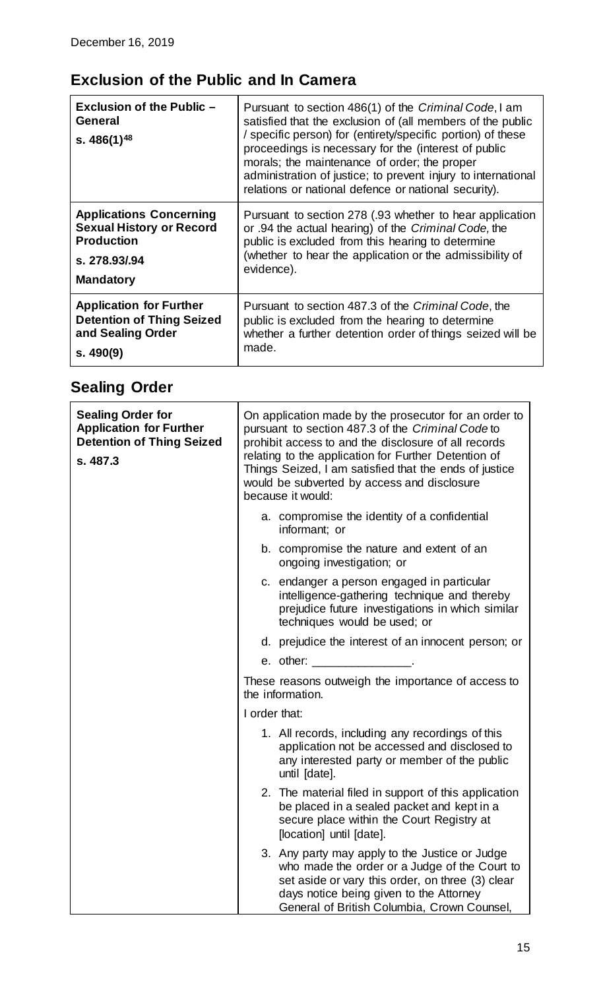## <span id="page-14-0"></span>**Exclusion of the Public and In Camera**

| <b>Exclusion of the Public -</b><br>General<br>s. $486(1)^{48}$ | Pursuant to section 486(1) of the Criminal Code, I am<br>satisfied that the exclusion of (all members of the public<br>/ specific person) for (entirety/specific portion) of these<br>proceedings is necessary for the (interest of public<br>morals; the maintenance of order; the proper<br>administration of justice; to prevent injury to international<br>relations or national defence or national security). |
|-----------------------------------------------------------------|---------------------------------------------------------------------------------------------------------------------------------------------------------------------------------------------------------------------------------------------------------------------------------------------------------------------------------------------------------------------------------------------------------------------|
| <b>Applications Concerning</b>                                  | Pursuant to section 278 (.93 whether to hear application                                                                                                                                                                                                                                                                                                                                                            |
| <b>Sexual History or Record</b>                                 | or .94 the actual hearing) of the Criminal Code, the                                                                                                                                                                                                                                                                                                                                                                |
| <b>Production</b>                                               | public is excluded from this hearing to determine                                                                                                                                                                                                                                                                                                                                                                   |
| s. 278,93/.94                                                   | (whether to hear the application or the admissibility of                                                                                                                                                                                                                                                                                                                                                            |
| <b>Mandatory</b>                                                | evidence).                                                                                                                                                                                                                                                                                                                                                                                                          |
| <b>Application for Further</b>                                  | Pursuant to section 487.3 of the Criminal Code, the                                                                                                                                                                                                                                                                                                                                                                 |
| <b>Detention of Thing Seized</b>                                | public is excluded from the hearing to determine                                                                                                                                                                                                                                                                                                                                                                    |
| and Sealing Order                                               | whether a further detention order of things seized will be                                                                                                                                                                                                                                                                                                                                                          |
| s.490(9)                                                        | made.                                                                                                                                                                                                                                                                                                                                                                                                               |

# <span id="page-14-1"></span>**Sealing Order**

| <b>Sealing Order for</b><br><b>Application for Further</b><br><b>Detention of Thing Seized</b><br>s. 487.3 | On application made by the prosecutor for an order to<br>pursuant to section 487.3 of the Criminal Code to<br>prohibit access to and the disclosure of all records<br>relating to the application for Further Detention of<br>Things Seized, I am satisfied that the ends of justice<br>would be subverted by access and disclosure<br>because it would: |                                                                                                                                                                                                                                               |
|------------------------------------------------------------------------------------------------------------|----------------------------------------------------------------------------------------------------------------------------------------------------------------------------------------------------------------------------------------------------------------------------------------------------------------------------------------------------------|-----------------------------------------------------------------------------------------------------------------------------------------------------------------------------------------------------------------------------------------------|
|                                                                                                            |                                                                                                                                                                                                                                                                                                                                                          | a. compromise the identity of a confidential<br>informant; or                                                                                                                                                                                 |
|                                                                                                            |                                                                                                                                                                                                                                                                                                                                                          | b. compromise the nature and extent of an<br>ongoing investigation; or                                                                                                                                                                        |
|                                                                                                            |                                                                                                                                                                                                                                                                                                                                                          | c. endanger a person engaged in particular<br>intelligence-gathering technique and thereby<br>prejudice future investigations in which similar<br>techniques would be used; or                                                                |
|                                                                                                            |                                                                                                                                                                                                                                                                                                                                                          | d. prejudice the interest of an innocent person; or                                                                                                                                                                                           |
|                                                                                                            |                                                                                                                                                                                                                                                                                                                                                          | e. other:                                                                                                                                                                                                                                     |
|                                                                                                            |                                                                                                                                                                                                                                                                                                                                                          | These reasons outweigh the importance of access to<br>the information.                                                                                                                                                                        |
|                                                                                                            | I order that:                                                                                                                                                                                                                                                                                                                                            |                                                                                                                                                                                                                                               |
|                                                                                                            |                                                                                                                                                                                                                                                                                                                                                          | 1. All records, including any recordings of this<br>application not be accessed and disclosed to<br>any interested party or member of the public<br>until [date].                                                                             |
|                                                                                                            |                                                                                                                                                                                                                                                                                                                                                          | 2. The material filed in support of this application<br>be placed in a sealed packet and kept in a<br>secure place within the Court Registry at<br>[location] until [date].                                                                   |
|                                                                                                            |                                                                                                                                                                                                                                                                                                                                                          | 3. Any party may apply to the Justice or Judge<br>who made the order or a Judge of the Court to<br>set aside or vary this order, on three (3) clear<br>days notice being given to the Attorney<br>General of British Columbia, Crown Counsel, |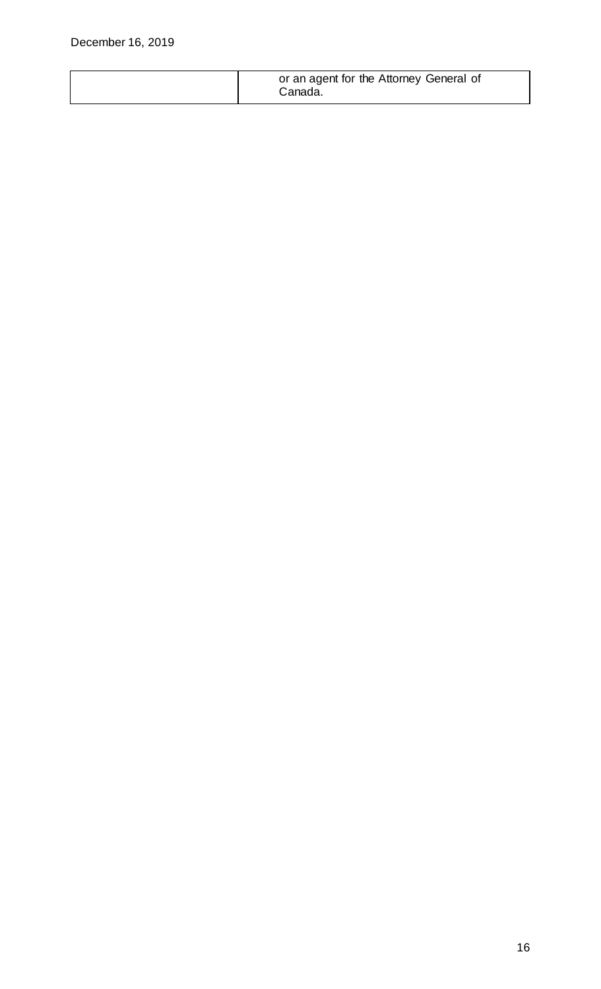|  | or an agent for the Attorney General of<br>Canada. |
|--|----------------------------------------------------|
|  |                                                    |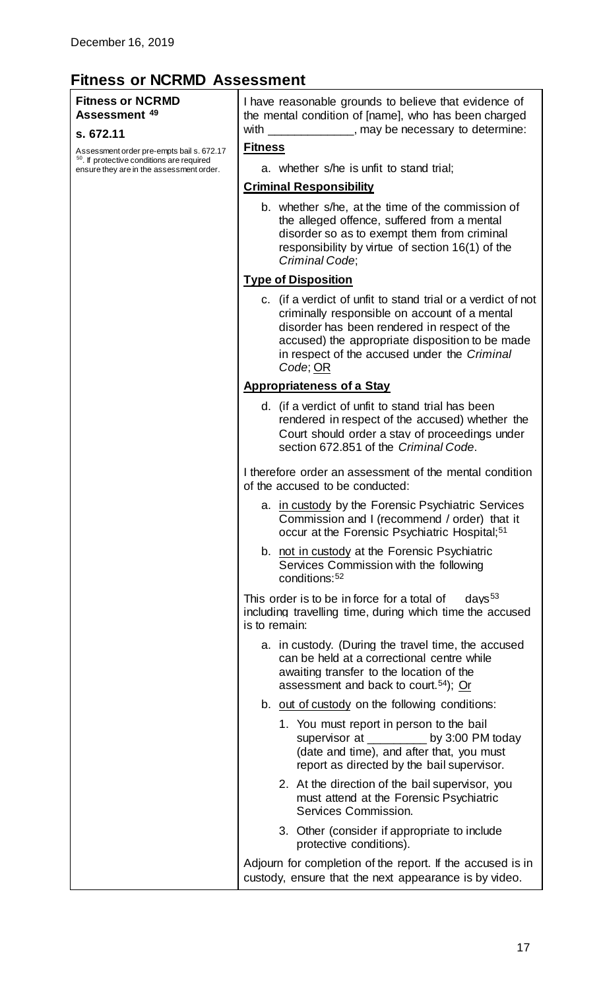### <span id="page-16-0"></span>**Fitness or NCRMD Assessment**

#### **Fitness or NCRMD Assessment [49](#page-6-24)**

#### **s. 672.11**

[As](#page-7-1)sessment order pre-empts bail s. 672.17<br><sup>0</sup>. If protective conditions are required ensure they are in the assessment order.

I have reasonable grounds to believe that evidence of the mental condition of [name], who has been charged with \_\_\_\_\_\_\_\_\_\_\_\_\_, may be necessary to determine:

#### **Fitness**

a. whether s/he is unfit to stand trial;

#### **Criminal Responsibility**

b. whether s/he, at the time of the commission of the alleged offence, suffered from a mental disorder so as to exempt them from criminal responsibility by virtue of section 16(1) of the *Criminal Code*;

#### **Type of Disposition**

c. (if a verdict of unfit to stand trial or a verdict of not criminally responsible on account of a mental disorder has been rendered in respect of the accused) the appropriate disposition to be made in respect of the accused under the *Criminal Code*; OR

#### **Appropriateness of a Stay**

d. (if a verdict of unfit to stand trial has been rendered in respect of the accused) whether the Court should order a stay of proceedings under section 672.851 of the *Criminal Code*.

I therefore order an assessment of the mental condition of the accused to be conducted:

- a. in custody by the Forensic Psychiatric Services Commission and I (recommend / order) that it occur at the Forensic Psychiatric Hospital;<sup>[51](#page-7-2)</sup>
- b. not in custody at the Forensic Psychiatric Services Commission with the following conditions:[52](#page-7-3)

This order is to be in force for a total of  $\frac{days^{53}}{dx}$  $\frac{days^{53}}{dx}$  $\frac{days^{53}}{dx}$ including travelling time, during which time the accused is to remain:

| is to remain:                                                                                                                                                                                      |
|----------------------------------------------------------------------------------------------------------------------------------------------------------------------------------------------------|
| a. in custody. (During the travel time, the accused<br>can be held at a correctional centre while<br>awaiting transfer to the location of the<br>assessment and back to court. <sup>54</sup> ); Or |
| b. out of custody on the following conditions:                                                                                                                                                     |
| 1. You must report in person to the bail<br>supervisor at ___________ by 3:00 PM today<br>(date and time), and after that, you must<br>report as directed by the bail supervisor.                  |
| 2. At the direction of the bail supervisor, you<br>must attend at the Forensic Psychiatric<br>Services Commission.                                                                                 |
| 3. Other (consider if appropriate to include<br>protective conditions).                                                                                                                            |
| Adjourn for completion of the report. If the accused is in<br>custody, ensure that the next appearance is by video.                                                                                |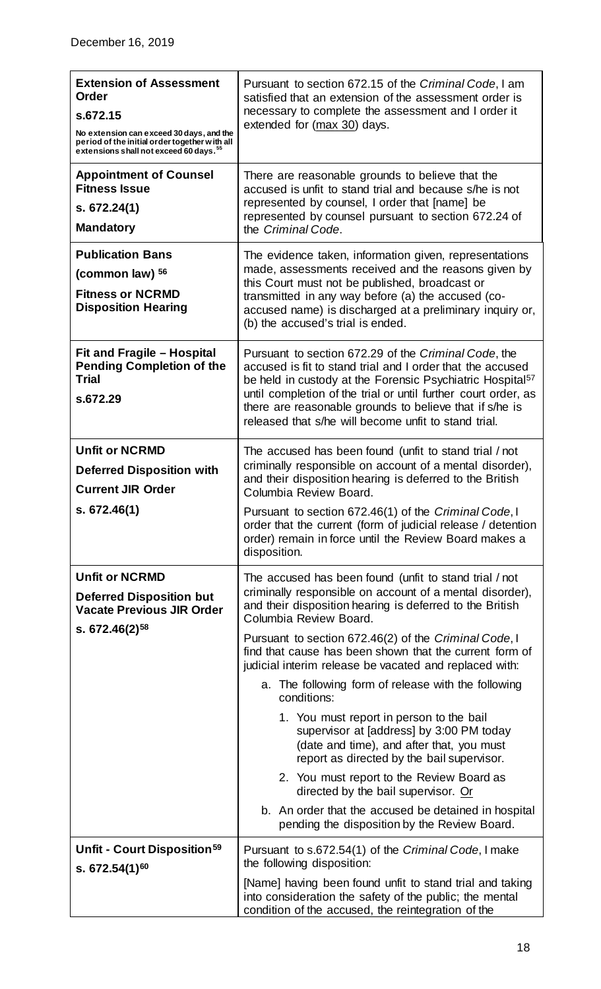| <b>Extension of Assessment</b><br><b>Order</b><br>s.672.15<br>No extension can exceed 30 days, and the<br>period of the initial order together with all<br>extensions shall not exceed 60 days. <sup>55</sup> | Pursuant to section 672.15 of the Criminal Code, I am<br>satisfied that an extension of the assessment order is<br>necessary to complete the assessment and I order it<br>extended for (max 30) days.                                                                                                                                                                                                                                                                                                                                                                                                                                                                                                                                                                                                                                       |
|---------------------------------------------------------------------------------------------------------------------------------------------------------------------------------------------------------------|---------------------------------------------------------------------------------------------------------------------------------------------------------------------------------------------------------------------------------------------------------------------------------------------------------------------------------------------------------------------------------------------------------------------------------------------------------------------------------------------------------------------------------------------------------------------------------------------------------------------------------------------------------------------------------------------------------------------------------------------------------------------------------------------------------------------------------------------|
| <b>Appointment of Counsel</b><br><b>Fitness Issue</b><br>s. 672.24(1)<br><b>Mandatory</b>                                                                                                                     | There are reasonable grounds to believe that the<br>accused is unfit to stand trial and because s/he is not<br>represented by counsel, I order that [name] be<br>represented by counsel pursuant to section 672.24 of<br>the Criminal Code.                                                                                                                                                                                                                                                                                                                                                                                                                                                                                                                                                                                                 |
| <b>Publication Bans</b><br>(common law) 56<br><b>Fitness or NCRMD</b><br><b>Disposition Hearing</b>                                                                                                           | The evidence taken, information given, representations<br>made, assessments received and the reasons given by<br>this Court must not be published, broadcast or<br>transmitted in any way before (a) the accused (co-<br>accused name) is discharged at a preliminary inquiry or,<br>(b) the accused's trial is ended.                                                                                                                                                                                                                                                                                                                                                                                                                                                                                                                      |
| Fit and Fragile - Hospital<br><b>Pending Completion of the</b><br><b>Trial</b><br>s.672.29                                                                                                                    | Pursuant to section 672.29 of the Criminal Code, the<br>accused is fit to stand trial and I order that the accused<br>be held in custody at the Forensic Psychiatric Hospital <sup>57</sup><br>until completion of the trial or until further court order, as<br>there are reasonable grounds to believe that if s/he is<br>released that s/he will become unfit to stand trial.                                                                                                                                                                                                                                                                                                                                                                                                                                                            |
| <b>Unfit or NCRMD</b><br><b>Deferred Disposition with</b><br><b>Current JIR Order</b><br>s. 672.46(1)                                                                                                         | The accused has been found (unfit to stand trial / not<br>criminally responsible on account of a mental disorder),<br>and their disposition hearing is deferred to the British<br>Columbia Review Board.<br>Pursuant to section 672.46(1) of the Criminal Code, I<br>order that the current (form of judicial release / detention<br>order) remain in force until the Review Board makes a<br>disposition.                                                                                                                                                                                                                                                                                                                                                                                                                                  |
| <b>Unfit or NCRMD</b><br><b>Deferred Disposition but</b><br><b>Vacate Previous JIR Order</b><br>s. $672.46(2)^{58}$                                                                                           | The accused has been found (unfit to stand trial / not<br>criminally responsible on account of a mental disorder),<br>and their disposition hearing is deferred to the British<br>Columbia Review Board.<br>Pursuant to section 672.46(2) of the Criminal Code, I<br>find that cause has been shown that the current form of<br>judicial interim release be vacated and replaced with:<br>a. The following form of release with the following<br>conditions:<br>1. You must report in person to the bail<br>supervisor at [address] by 3:00 PM today<br>(date and time), and after that, you must<br>report as directed by the bail supervisor.<br>2. You must report to the Review Board as<br>directed by the bail supervisor. Or<br>b. An order that the accused be detained in hospital<br>pending the disposition by the Review Board. |
| Unfit - Court Disposition <sup>59</sup><br>s. $672.54(1)^{60}$                                                                                                                                                | Pursuant to s.672.54(1) of the Criminal Code, I make<br>the following disposition:<br>[Name] having been found unfit to stand trial and taking<br>into consideration the safety of the public; the mental<br>condition of the accused, the reintegration of the                                                                                                                                                                                                                                                                                                                                                                                                                                                                                                                                                                             |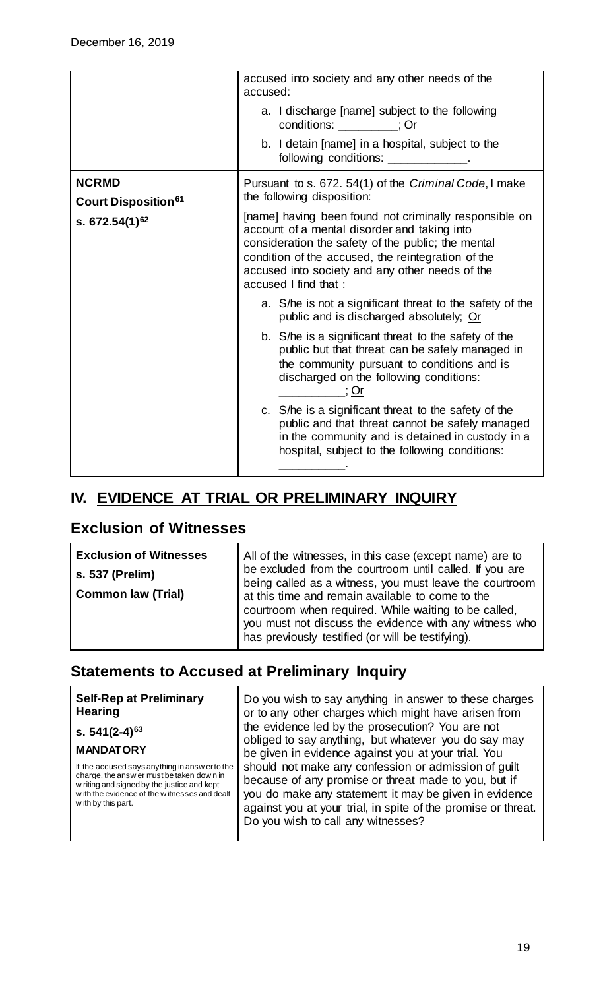|                                                                        | accused into society and any other needs of the<br>accused:                                                                                                                                                                                                                                   |
|------------------------------------------------------------------------|-----------------------------------------------------------------------------------------------------------------------------------------------------------------------------------------------------------------------------------------------------------------------------------------------|
|                                                                        | a. I discharge [name] subject to the following<br>conditions: _________; Or                                                                                                                                                                                                                   |
|                                                                        | b. I detain [name] in a hospital, subject to the<br>following conditions: _____________.                                                                                                                                                                                                      |
| <b>NCRMD</b><br>Court Disposition <sup>61</sup><br>s. $672.54(1)^{62}$ | Pursuant to s. 672. 54(1) of the Criminal Code, I make<br>the following disposition:                                                                                                                                                                                                          |
|                                                                        | [name] having been found not criminally responsible on<br>account of a mental disorder and taking into<br>consideration the safety of the public; the mental<br>condition of the accused, the reintegration of the<br>accused into society and any other needs of the<br>accused I find that: |
|                                                                        | a. S/he is not a significant threat to the safety of the<br>public and is discharged absolutely; Or                                                                                                                                                                                           |
|                                                                        | b. S/he is a significant threat to the safety of the<br>public but that threat can be safely managed in<br>the community pursuant to conditions and is<br>discharged on the following conditions:<br>∴ ; Or                                                                                   |
|                                                                        | c. S/he is a significant threat to the safety of the<br>public and that threat cannot be safely managed<br>in the community and is detained in custody in a<br>hospital, subject to the following conditions:                                                                                 |

## <span id="page-18-0"></span>**IV. EVIDENCE AT TRIAL OR PRELIMINARY INQUIRY**

#### <span id="page-18-1"></span>**Exclusion of Witnesses**

| <b>Exclusion of Witnesses</b><br>s. 537 (Prelim)<br><b>Common law (Trial)</b> | All of the witnesses, in this case (except name) are to<br>be excluded from the courtroom until called. If you are<br>being called as a witness, you must leave the courtroom<br>at this time and remain available to come to the<br>courtroom when required. While waiting to be called,<br>you must not discuss the evidence with any witness who |
|-------------------------------------------------------------------------------|-----------------------------------------------------------------------------------------------------------------------------------------------------------------------------------------------------------------------------------------------------------------------------------------------------------------------------------------------------|
|                                                                               | has previously testified (or will be testifying).                                                                                                                                                                                                                                                                                                   |

### <span id="page-18-2"></span>**Statements to Accused at Preliminary Inquiry**

**Self-Rep at Preliminary Hearing**

**s. 541(2-4)[63](#page-7-14)**

#### **MANDATORY**

If the accused says anything in answ er to the charge, the answ er must be taken dow n in w riting and signed by the justice and kept w ith the evidence of the w itnesses and dealt w ith by this part.

Do you wish to say anything in answer to these charges or to any other charges which might have arisen from the evidence led by the prosecution? You are not obliged to say anything, but whatever you do say may be given in evidence against you at your trial. You should not make any confession or admission of guilt because of any promise or threat made to you, but if you do make any statement it may be given in evidence against you at your trial, in spite of the promise or threat. Do you wish to call any witnesses?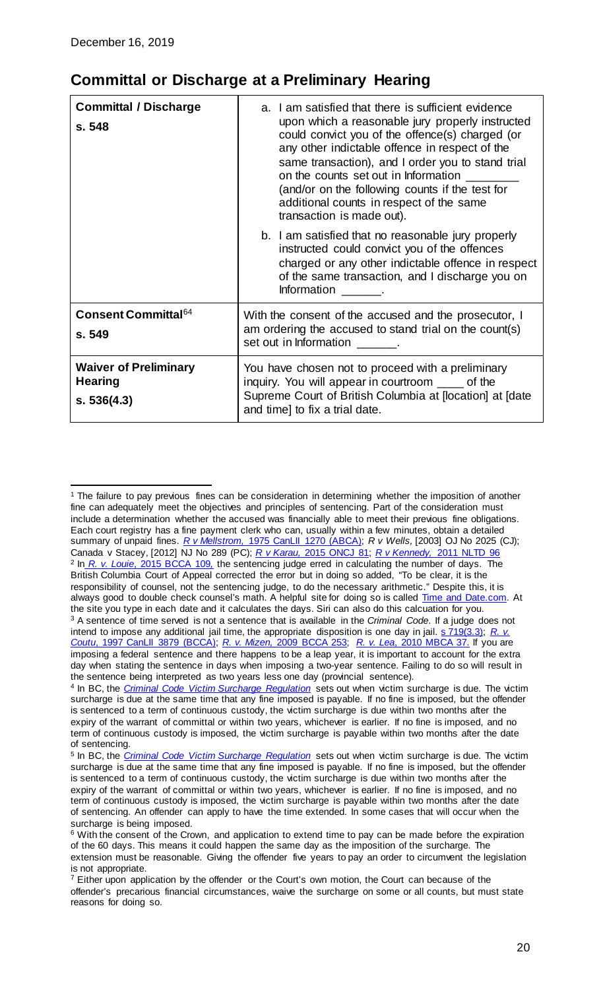$\overline{a}$ 

### <span id="page-19-0"></span>**Committal or Discharge at a Preliminary Hearing**

| <b>Committal / Discharge</b><br>s. 548                        | a. I am satisfied that there is sufficient evidence<br>upon which a reasonable jury properly instructed<br>could convict you of the offence(s) charged (or<br>any other indictable offence in respect of the<br>same transaction), and I order you to stand trial<br>on the counts set out in Information<br>(and/or on the following counts if the test for<br>additional counts in respect of the same<br>transaction is made out). |
|---------------------------------------------------------------|---------------------------------------------------------------------------------------------------------------------------------------------------------------------------------------------------------------------------------------------------------------------------------------------------------------------------------------------------------------------------------------------------------------------------------------|
|                                                               | b. I am satisfied that no reasonable jury properly<br>instructed could convict you of the offences<br>charged or any other indictable offence in respect<br>of the same transaction, and I discharge you on<br>Information _______.                                                                                                                                                                                                   |
| Consent Committal <sup>64</sup><br>s. 549                     | With the consent of the accused and the prosecutor, I<br>am ordering the accused to stand trial on the count(s)<br>set out in Information .                                                                                                                                                                                                                                                                                           |
| <b>Waiver of Preliminary</b><br><b>Hearing</b><br>s. 536(4.3) | You have chosen not to proceed with a preliminary<br>inquiry. You will appear in courtroom ____ of the<br>Supreme Court of British Columbia at [location] at [date<br>and time] to fix a trial date.                                                                                                                                                                                                                                  |

<sup>&</sup>lt;sup>1</sup> The failure to pay previous fines can be consideration in determining whether the imposition of another fine can adequately meet the objectives and principles of sentencing. Part of the consideration must include a determination whether the accused was financially able to meet their previous fine obligations. Each court registry has a fine payment clerk who can, usually within a few minutes, obtain a detailed summary of unpaid fines. *R v Mellstrom,* [1975 CanLII 1270 \(ABCA\);](https://www.canlii.org/en/ab/abca/doc/1975/1975canlii1270/1975canlii1270.html?resultIndex=1) *R v Wells,* [2003] OJ No 2025 (CJ); Canada v Stacey, [2012] NJ No 289 (PC); *R v Karau,* [2015 ONCJ 81;](https://www.canlii.org/en/on/oncj/doc/2015/2015oncj91/2015oncj91.html?autocompleteStr=r%20v%20karau&autocompletePos=1) *R v Kennedy,* [2011 NLTD 96](https://www.canlii.org/en/#search/text=nltd&id=r%20v%20kennedy&resultIndex=1) <sup>2</sup> In *R. v. Louie*[, 2015 BCCA 109](https://www.canlii.org/en/bc/bcca/doc/2015/2015bcca109/2015bcca109.html?resultIndex=1)*,* the sentencing judge erred in calculating the number of days. The British Columbia Court of Appeal corrected the error but in doing so added, "To be clear, it is the responsibility of counsel, not the sentencing judge, to do the necessary arithmetic." Despite this, it is always good to double check counsel's math. A helpful site for doing so is called [Time and Date.com.](https://www.timeanddate.com/date/duration.html) At the site you type in each date and it calculates the days. Siri can also do this calcuation for you. <sup>3</sup> A sentence of time served is not a sentence that is available in the *Criminal Code*. If a judge does not intend to impose any additional jail time, the appropriate disposition is one day in jail. [s 719\(3.3\);](http://laws-lois.justice.gc.ca/eng/acts/c-46/section-719.html) *R. v Coutu*[, 1997 CanLII 3879 \(BCCA\);](http://www.canlii.org/en/bc/bcca/doc/1997/1997canlii3879/1997canlii3879.html?resultIndex=1) *R. v. Mizen,* [2009 BCCA 253;](http://www.canlii.org/en/bc/bcca/doc/2009/2009bcca253/2009bcca253.html) *R. v. Lea*[, 2010 MBCA 37.](http://www.canlii.org/en/mb/mbca/doc/2010/2010mbca37/2010mbca37.html?autocompleteStr=r%20v%20lea&autocompletePos=3) If you are imposing a federal sentence and there happens to be a leap year, it is important to account for the extra day when stating the sentence in days when imposing a two-year sentence. Failing to do so will result in the sentence being interpreted as two years less one day (provincial sentence).

<sup>4</sup> In BC, the *[Criminal Code Victim Surcharge Regulation](http://www.bclaws.ca/EPLibraries/bclaws_new/document/ID/freeside/394_99)* sets out when victim surcharge is due. The victim surcharge is due at the same time that any fine imposed is payable. If no fine is imposed, but the offender is sentenced to a term of continuous custody, the victim surcharge is due within two months after the expiry of the warrant of committal or within two years, whichever is earlier. If no fine is imposed, and no term of continuous custody is imposed, the victim surcharge is payable within two months after the date of sentencing.

<sup>5</sup> In BC, the *[Criminal Code Victim Surcharge Regulation](http://www.bclaws.ca/EPLibraries/bclaws_new/document/ID/freeside/394_99)* sets out when victim surcharge is due. The victim surcharge is due at the same time that any fine imposed is payable. If no fine is imposed, but the offender is sentenced to a term of continuous custody, the victim surcharge is due within two months after the expiry of the warrant of committal or within two years, whichever is earlier. If no fine is imposed, and no term of continuous custody is imposed, the victim surcharge is payable within two months after the date of sentencing. An offender can apply to have the time extended. In some cases that will occur when the surcharge is being imposed.

<sup>&</sup>lt;sup>6</sup> With the consent of the Crown, and application to extend time to pay can be made before the expiration of the 60 days. This means it could happen the same day as the imposition of the surcharge. The extension must be reasonable. Giving the offender five years to pay an order to circumvent the legislation is not appropriate.

 $<sup>7</sup>$  Either upon application by the offender or the Court's own motion, the Court can because of the</sup> offender's precarious financial circumstances, waive the surcharge on some or all counts, but must state reasons for doing so.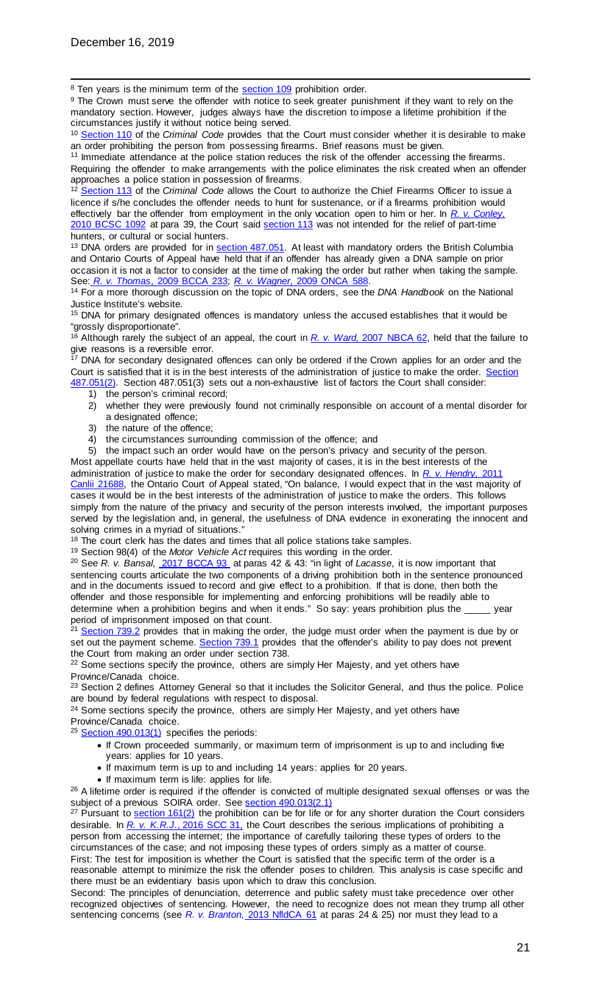<sup>8</sup> Ten years is the minimum term of the **section 109** prohibition order.

<sup>9</sup> The Crown must serve the offender with notice to seek greater punishment if they want to rely on the mandatory section. However, judges always have the discretion to impose a lifetime prohibition if the circumstances justify it without notice being served.

<sup>10</sup> [Section 110](http://laws-lois.justice.gc.ca/eng/acts/C-46/section-110-20150618.html) of the *Criminal Code* provides that the Court must consider whether it is desirable to make an order prohibiting the person from possessing firearms. Brief reasons must be given.

<sup>11</sup> Immediate attendance at the police station reduces the risk of the offender accessing the firearms. Requiring the offender to make arrangements with the police eliminates the risk created when an offender approaches a police station in possession of firearms.

<sup>12</sup> [Section 113](http://yourlaws.ca/criminal-code-canada/113-lifting-prohibition-order-sustenance-or) of the *Criminal Code* allows the Court to authorize the Chief Firearms Officer to issue a licence if s/he concludes the offender needs to hunt for sustenance, or if a firearms prohibition would effectively bar the offender from employment in the only vocation open to him or her. In *[R. v. Conley](http://canlii.ca/t/2bz63)*, [2010 BCSC 1092](http://canlii.ca/t/2bz63) at para 39, the Court said [section 113](http://yourlaws.ca/criminal-code-canada/113-lifting-prohibition-order-sustenance-or) was not intended for the relief of part-time hunters, or cultural or social hunters.

<sup>13</sup> DNA orders are provided for in [section 487.051.](http://yourlaws.ca/criminal-code-canada/487051-order-%E2%80%94-primary-designated-offences) At least with mandatory orders the British Columbia and Ontario Courts of Appeal have held that if an offender has already given a DNA sample on prior occasion it is not a factor to consider at the time of making the order but rather when taking the sample.<br>See: R. v. Thomas, 2009 BCCA 233; R. v. Wagner, 2009 ONCA 588.

<sup>14</sup> For a more thorough discussion on the topic of DNA orders, see the *DNA Handbook* on the National Justice Institute's website.

<sup>15</sup> DNA for primary designated offences is mandatory unless the accused establishes that it would be "grossly disproportionate".

<sup>16</sup> Although rarely the subject of an appeal, the court in *R. v. Ward,* [2007 NBCA 62,](https://www.canlii.org/en/nb/nbca/doc/2007/2007nbca62/2007nbca62.html?resultIndex=1) held that the failure to give reasons is a reversible error.

<sup>17</sup> DNA for secondary designated offences can only be ordered if the Crown applies for an order and the Court is satisfied that it is in the best interests of the administration of justice to make the order. Section [487.051\(2\).](http://yourlaws.ca/criminal-code-canada/487051-order-%E2%80%94-primary-designated-offences) Section 487.051(3) sets out a non-exhaustive list of factors the Court shall consider:

- 1) the person's criminal record;
- 2) whether they were previously found not criminally responsible on account of a mental disorder for a designated offence;
- 3) the nature of the offence;
- 4) the circumstances surrounding commission of the offence; and

5) the impact such an order would have on the person's privacy and security of the person. Most appellate courts have held that in the vast majority of cases, it is in the best interests of the administration of justice to make the order for secondary designated offences. In *R. [v. Hendry](https://www.canlii.org/en/on/onca/doc/2001/2001canlii21168/2001canlii21168.html?resultIndex=5)*, 2011 [Canlii 21688,](https://www.canlii.org/en/on/onca/doc/2001/2001canlii21168/2001canlii21168.html?resultIndex=5) the Ontario Court of Appeal stated, "On balance, I would expect that in the vast majority of cases it would be in the best interests of the administration of justice to make the orders. This follows simply from the nature of the privacy and security of the person interests involved, the important purposes

served by the legislation and, in general, the usefulness of DNA evidence in exonerating the innocent and solving crimes in a myriad of situations."

<sup>18</sup> The court clerk has the dates and times that all police stations take samples.

<sup>19</sup> Section 98(4) of the *Motor Vehicle Act* requires this wording in the order. <sup>20</sup> See *R. v. Bansal,* [2017 BCCA 93](https://www.canlii.org/en/bc/bcca/doc/2017/2017bcca93/2017bcca93.html?searchUrlHash=AAAAAQAWMjU5IC9zIHByb2hpYiogL3MgamFpbAAAAAAB&resultIndex=3) at paras 42 & 43: "in light of *Lacasse*, it is now important that sentencing courts articulate the two components of a driving prohibition both in the sentence pronounced and in the documents issued to record and give effect to a prohibition. If that is done, then both the offender and those responsible for implementing and enforcing prohibitions will be readily able to determine when a prohibition begins and when it ends." So say: years prohibition plus the \_\_\_\_\_ year

period of imprisonment imposed on that count. <sup>21</sup> [Section 739.2](http://laws-lois.justice.gc.ca/eng/acts/C-46/page-188.html) provides that in making the order, the judge must order when the payment is due by or set out the payment scheme. [Section 739.1](http://laws-lois.justice.gc.ca/eng/acts/C-46/page-188.html) provides that the offender's ability to pay does not prevent the Court from making an order under section 738.

<sup>22</sup> Some sections specify the province, others are simply Her Majesty, and yet others have Province/Canada choice.

<sup>23</sup> Section 2 defines Attorney General so that it includes the Solicitor General, and thus the police. Police are bound by federal regulations with respect to disposal.

<sup>24</sup> Some sections specify the province, others are simply Her Majesty, and yet others have Province/Canada choice.

<sup>25</sup> [Section 490.013\(1\)](http://laws-lois.justice.gc.ca/eng/acts/C-46/section-490.012-20110415.html) specifies the periods:

- If Crown proceeded summarily, or maximum term of imprisonment is up to and including five years: applies for 10 years.
- If maximum term is up to and including 14 years: applies for 20 years.
- If maximum term is life: applies for life.

<sup>26</sup> A lifetime order is required if the offender is convicted of multiple designated sexual offenses or was the subject of a previous SOIRA order. See [section 490.013\(2.1\)](http://www.laws-lois.justice.gc.ca/eng/acts/C-46/page-119.html)

<sup>27</sup> Pursuant to **section 161(2)** the prohibition can be for life or for any shorter duration the Court considers desirable. In *R. v. K.R.J.*[, 2016 SCC 31,](https://www.canlii.org/en/ca/scc/doc/2016/2016scc31/2016scc31.html?resultIndex=1) the Court describes the serious implications of prohibiting a person from accessing the internet; the importance of carefully tailoring these types of orders to the circumstances of the case; and not imposing these types of orders simply as a matter of course. First: The test for imposition is whether the Court is satisfied that the specific term of the order is a reasonable attempt to minimize the risk the offender poses to children. This analysis is case specific and there must be an evidentiary basis upon which to draw this conclusion.

Second: The principles of denunciation, deterrence and public safety must take precedence over other recognized objectives of sentencing. However, the need to recognize does not mean they trump all other sentencing concerns (see *R. v. Branton,* [2013 NfldCA 61](https://www.canlii.org/en/nl/nlca/doc/2013/2013nlca61/2013nlca61.html?resultIndex=1) at paras 24 & 25) nor must they lead to a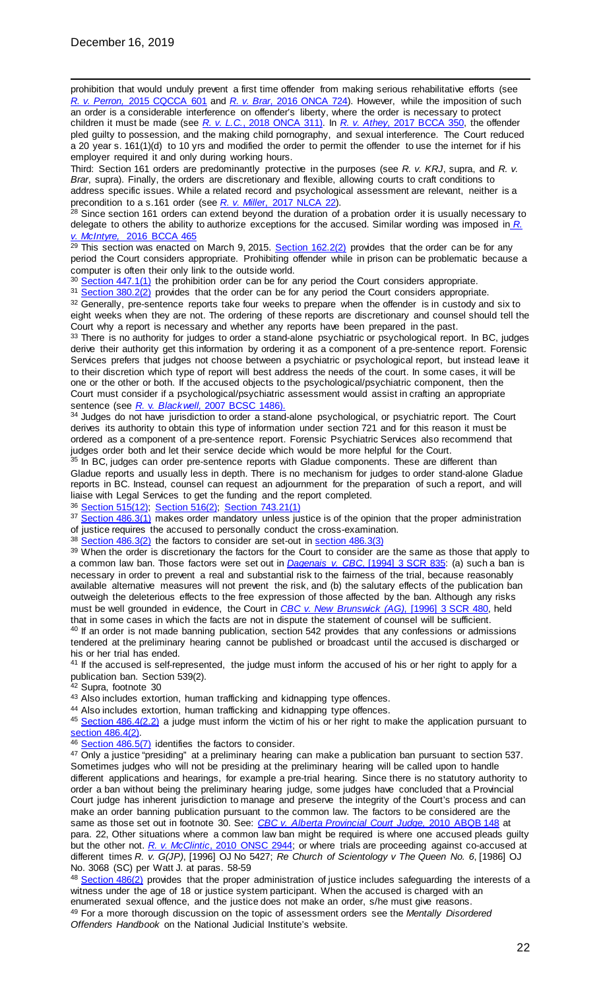prohibition that would unduly prevent a first time offender from making serious rehabilitative efforts (see *R. v. Perron,* [2015 CQCCA 601](https://www.canlii.org/fr/qc/qcca/doc/2015/2015qcca601/2015qcca601.html?resultIndex=1) and *R. v. Brar*[, 2016 ONCA 724\)](https://www.canlii.org/en/on/onca/doc/2016/2016onca724/2016onca724.html?resultIndex=1). However, while the imposition of such an order is a considerable interference on offender's liberty, where the order is necessary to protect children it must be made (see *R. v. L.C.*[, 2018 ONCA 311\).](https://www.canlii.org/en/on/onca/doc/2018/2018onca311/2018onca311.html?resultIndex=1) In *R. v. Athey*[, 2017 BCCA 350,](https://www.canlii.org/en/bc/bcca/doc/2017/2017bcca350/2017bcca350.html?resultIndex=1) the offender pled guilty to possession, and the making child pornography, and sexual interference. The Court reduced a 20 year s. 161(1)(d) to 10 yrs and modified the order to permit the offender to use the internet for if his

employer required it and only during working hours. Third: Section 161 orders are predominantly protective in the purposes (see *R. v. KRJ*, supra, and *R. v. Brar*, supra). Finally, the orders are discretionary and flexible, allowing courts to craft conditions to address specific issues. While a related record and psychological assessment are relevant, neither is a precondition to a s.161 order (see *R. v. Mille*[r, 2017 NLCA 22\)](https://www.canlii.org/en/nl/nlca/doc/2017/2017nlca22/2017nlca22.html?resultIndex=1).

<sup>28</sup> Since section 161 orders can extend beyond the duration of a probation order it is usually necessary to delegate to others the ability to authorize exceptions for the accused. Similar wording was imposed in *[R.](https://www.canlii.org/en/bc/bcca/doc/2016/2016bcca465/2016bcca465.html?resultIndex=1)  v. McIntyre,* [2016 BCCA 465](https://www.canlii.org/en/bc/bcca/doc/2016/2016bcca465/2016bcca465.html?resultIndex=1)

 $29$  This section was enacted on March 9, 2015. [Section 162.2\(2\)](http://laws-lois.justice.gc.ca/eng/acts/C-46/section-162.2-20150717.html) provides that the order can be for any period the Court considers appropriate. Prohibiting offender while in prison can be problematic because a computer is often their only link to the outside world.

<sup>30</sup> [Section 447.1\(1\)](http://www.criminal-code.ca/criminal-code-of-canada-section-447-1-1-order-of-prohibition-or-restitution/index.html) the prohibition order can be for any period the Court considers appropriate.

31 [Section 380.2\(2\)](http://www.criminal-code.ca/criminal-code-of-canada-section-380-2-2-duration/index.html) provides that the order can be for any period the Court considers appropriate. 32 Generally, pre-sentence reports take four weeks to prepare when the offender is in custody and six to eight weeks when they are not. The ordering of these reports are discretionary and counsel should tell the Court why a report is necessary and whether any reports have been prepared in the past.

33 There is no authority for judges to order a stand-alone psychiatric or psychological report. In BC, judges derive their authority get this information by ordering it as a component of a pre-sentence report. Forensic Services prefers that judges not choose between a psychiatric or psychological report, but instead leave it to their discretion which type of report will best address the needs of the court. In some cases, it will be one or the other or both. If the accused objects to the psychological/psychiatric component, then the Court must consider if a psychological/psychiatric assessment would assist in crafting an appropriate sentence (see *R.* v. *Blackwell,* [2007 BCSC 1486\)](https://www.canlii.org/en/bc/bcsc/doc/2007/2007bcsc1486/2007bcsc1486.html?autocompleteStr=2007%20bcsc%201486&autocompletePos=1).

34 Judges do not have jurisdiction to order a stand-alone psychological, or psychiatric report. The Court derives its authority to obtain this type of information under section 721 and for this reason it must be ordered as a component of a pre-sentence report. Forensic Psychiatric Services also recommend that judges order both and let their service decide which would be more helpful for the Court.

<sup>35</sup> In BC, judges can order pre-sentence reports with Gladue components. These are different than Gladue reports and usually less in depth. There is no mechanism for judges to order stand-alone Gladue reports in BC. Instead, counsel can request an adjournment for the preparation of such a report, and will liaise with Legal Services to get the funding and the report completed.

<sup>36</sup> [Section 515\(12\);](http://laws-lois.justice.gc.ca/eng/acts/c-46/page-133.html) [Section 516\(2\);](http://www.criminal-code.ca/criminal-code-of-canada-section-516-2-detention-pending-bail-hearing/index.html) [Section 743.21\(1\)](http://www.criminal-code.ca/criminal-code-of-canada-section-743-21-1-non-communication-order/index.html)

37 [Section 486.3\(1\)](http://yourlaws.ca/criminal-code-canada/4863-accused-not-cross-examine-witness-under-18) makes order mandatory unless justice is of the opinion that the proper administration of justice requires the accused to personally conduct the cross-examination.

<sup>38</sup> [Section 486.3\(2\)](http://yourlaws.ca/criminal-code-canada/4863-accused-not-cross-examine-witness-under-18) the factors to consider are set-out i[n section 486.3\(3\)](http://yourlaws.ca/criminal-code-canada/4863-accused-not-cross-examine-witness-under-18)

39 When the order is discretionary the factors for the Court to consider are the same as those that apply to a common law ban. Those factors were set out in *Dagenais v. CBC*[, \[1994\] 3 SCR 835:](https://www.canlii.org/en/ca/scc/doc/1994/1994canlii39/1994canlii39.html?resultIndex=2) (a) such a ban is necessary in order to prevent a real and substantial risk to the fairness of the trial, because reasonably available alternative measures will not prevent the risk, and (b) the salutary effects of the publication ban outweigh the deleterious effects to the free expression of those affected by the ban. Although any risks must be well grounded in evidence, the Court in *CBC v. [New Brunswick \(AG\)](https://www.canlii.org/en/ca/scc/doc/1996/1996canlii184/1996canlii184.html?resultIndex=4)*, [1996] 3 SCR 480, held that in some cases in which the facts are not in dispute the statement of counsel will be sufficient.

<sup>40</sup> If an order is not made banning publication, section 542 provides that any confessions or admissions tendered at the preliminary hearing cannot be published or broadcast until the accused is discharged or his or her trial has ended.

<sup>41</sup> If the accused is self-represented, the judge must inform the accused of his or her right to apply for a publication ban. Section 539(2).

<sup>42</sup> Supra, footnote 30

43 Also includes extortion, human trafficking and kidnapping type offences.

44 Also includes extortion, human trafficking and kidnapping type offences.

45 [Section 486.4\(2.2\)](http://yourlaws.ca/criminal-code-canada/4864-order-restricting-publication-%E2%80%94-sexual) a judge must inform the victim of his or her right to make the application pursuant to [section 486.4\(2\).](http://yourlaws.ca/criminal-code-canada/4864-order-restricting-publication-%E2%80%94-sexual)

46 [Section 486.5\(7\)](http://yourlaws.ca/criminal-code-canada/4864-order-restricting-publication-%E2%80%94-sexual) identifies the factors to consider.

<sup>47</sup> Only a justice "presiding" at a preliminary hearing can make a publication ban pursuant to section 537. Sometimes judges who will not be presiding at the preliminary hearing will be called upon to handle different applications and hearings, for example a pre-trial hearing. Since there is no statutory authority to order a ban without being the preliminary hearing judge, some judges have concluded that a Provincial Court judge has inherent jurisdiction to manage and preserve the integrity of the Court's process and can make an order banning publication pursuant to the common law. The factors to be considered are the same as those set out in footnote 30. See: *CBC v. [Alberta Provincial Court Judge,](https://www.canlii.org/en/ab/abqb/doc/2010/2010abqb148/2010abqb148.html?resultIndex=1)* 2010 ABQB 148 at para. 22, Other situations where a common law ban might be required is where one accused pleads guilty but the other not. *R. v. McClintic*[, 2010 ONSC 2944;](https://www.canlii.org/en/on/onsc/doc/2010/2010onsc2944/2010onsc2944.html?resultIndex=1) or where trials are proceeding against co-accused at different times *R. v. G(JP)*, [1996] OJ No 5427; *Re Church of Scientology v The Queen No. 6*, [1986] OJ No. 3068 (SC) per Watt J. at paras. 58-59

48 [Section 486\(2\)](http://yourlaws.ca/criminal-code-canada/486-exclusion-public-certain-cases) provides that the proper administration of justice includes safeguarding the interests of a witness under the age of 18 or justice system participant. When the accused is charged with an enumerated sexual offence, and the justice does not make an order, s/he must give reasons. <sup>49</sup> For a more thorough discussion on the topic of assessment orders see the *Mentally Disordered Offenders Handbook* on the National Judicial Institute's website.